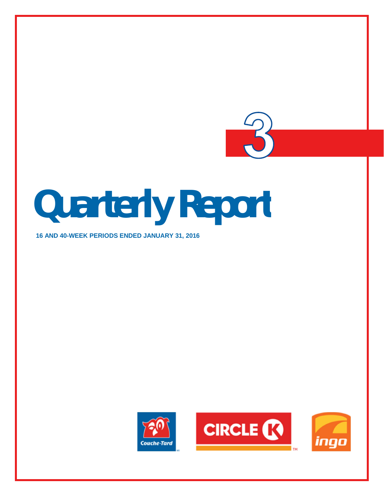

**16 AND 40-WEEK PERIODS ENDED JANUARY 31, 2016**



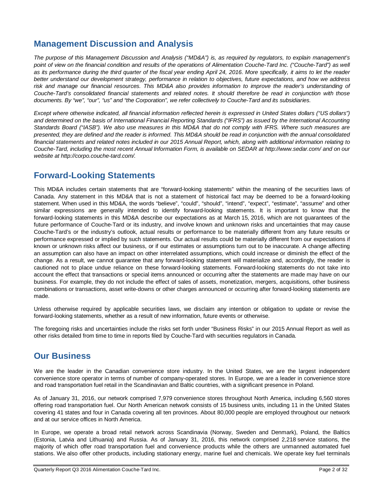# **Management Discussion and Analysis**

*The purpose of this Management Discussion and Analysis ("MD&A") is, as required by regulators, to explain management's point of view on the financial condition and results of the operations of Alimentation Couche-Tard Inc. ("Couche-Tard") as well as its performance during the third quarter of the fiscal year ending April 24, 2016. More specifically, it aims to let the reader better understand our development strategy, performance in relation to objectives, future expectations, and how we address risk and manage our financial resources. This MD&A also provides information to improve the reader's understanding of Couche-Tard's consolidated financial statements and related notes. It should therefore be read in conjunction with those documents. By "we", "our", "us" and "the Corporation", we refer collectively to Couche-Tard and its subsidiaries.*

*Except where otherwise indicated, all financial information reflected herein is expressed in United States dollars ("US dollars") and determined on the basis of International Financial Reporting Standards ("IFRS") as issued by the International Accounting Standards Board ("IASB"). We also use measures in this MD&A that do not comply with IFRS. Where such measures are presented, they are defined and the reader is informed. This MD&A should be read in conjunction with the annual consolidated financial statements and related notes included in our 2015 Annual Report, which, along with additional information relating to Couche-Tard, including the most recent Annual Information Form, is available on SEDAR at http://www.sedar.com/ and on our website at http://corpo.couche-tard.com/.*

# **Forward-Looking Statements**

This MD&A includes certain statements that are "forward-looking statements" within the meaning of the securities laws of Canada. Any statement in this MD&A that is not a statement of historical fact may be deemed to be a forward-looking statement. When used in this MD&A, the words "believe", "could", "should", "intend", "expect", "estimate", "assume" and other similar expressions are generally intended to identify forward-looking statements. It is important to know that the forward-looking statements in this MD&A describe our expectations as at March 15, 2016, which are not guarantees of the future performance of Couche-Tard or its industry, and involve known and unknown risks and uncertainties that may cause Couche-Tard's or the industry's outlook, actual results or performance to be materially different from any future results or performance expressed or implied by such statements. Our actual results could be materially different from our expectations if known or unknown risks affect our business, or if our estimates or assumptions turn out to be inaccurate. A change affecting an assumption can also have an impact on other interrelated assumptions, which could increase or diminish the effect of the change. As a result, we cannot guarantee that any forward-looking statement will materialize and, accordingly, the reader is cautioned not to place undue reliance on these forward-looking statements. Forward-looking statements do not take into account the effect that transactions or special items announced or occurring after the statements are made may have on our business. For example, they do not include the effect of sales of assets, monetization, mergers, acquisitions, other business combinations or transactions, asset write-downs or other charges announced or occurring after forward-looking statements are made.

Unless otherwise required by applicable securities laws, we disclaim any intention or obligation to update or revise the forward-looking statements, whether as a result of new information, future events or otherwise.

The foregoing risks and uncertainties include the risks set forth under "Business Risks" in our 2015 Annual Report as well as other risks detailed from time to time in reports filed by Couche-Tard with securities regulators in Canada.

# **Our Business**

We are the leader in the Canadian convenience store industry. In the United States, we are the largest independent convenience store operator in terms of number of company-operated stores. In Europe, we are a leader in convenience store and road transportation fuel retail in the Scandinavian and Baltic countries, with a significant presence in Poland.

As of January 31, 2016, our network comprised 7,979 convenience stores throughout North America, including 6,560 stores offering road transportation fuel. Our North American network consists of 15 business units, including 11 in the United States covering 41 states and four in Canada covering all ten provinces. About 80,000 people are employed throughout our network and at our service offices in North America.

In Europe, we operate a broad retail network across Scandinavia (Norway, Sweden and Denmark), Poland, the Baltics (Estonia, Latvia and Lithuania) and Russia. As of January 31, 2016, this network comprised 2,218 service stations, the majority of which offer road transportation fuel and convenience products while the others are unmanned automated fuel stations. We also offer other products, including stationary energy, marine fuel and chemicals. We operate key fuel terminals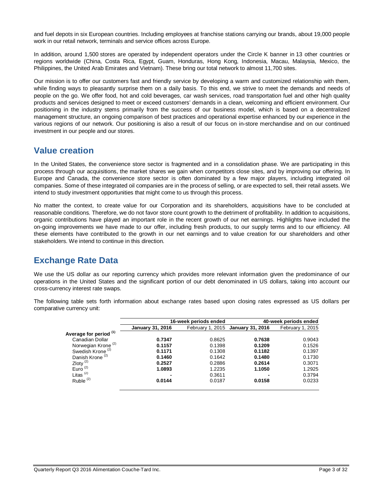and fuel depots in six European countries. Including employees at franchise stations carrying our brands, about 19,000 people work in our retail network, terminals and service offices across Europe.

In addition, around 1,500 stores are operated by independent operators under the Circle K banner in 13 other countries or regions worldwide (China, Costa Rica, Egypt, Guam, Honduras, Hong Kong, Indonesia, Macau, Malaysia, Mexico, the Philippines, the United Arab Emirates and Vietnam). These bring our total network to almost 11,700 sites.

Our mission is to offer our customers fast and friendly service by developing a warm and customized relationship with them, while finding ways to pleasantly surprise them on a daily basis. To this end, we strive to meet the demands and needs of people on the go. We offer food, hot and cold beverages, car wash services, road transportation fuel and other high quality products and services designed to meet or exceed customers' demands in a clean, welcoming and efficient environment. Our positioning in the industry stems primarily from the success of our business model, which is based on a decentralized management structure, an ongoing comparison of best practices and operational expertise enhanced by our experience in the various regions of our network. Our positioning is also a result of our focus on in-store merchandise and on our continued investment in our people and our stores.

# **Value creation**

In the United States, the convenience store sector is fragmented and in a consolidation phase. We are participating in this process through our acquisitions, the market shares we gain when competitors close sites, and by improving our offering. In Europe and Canada, the convenience store sector is often dominated by a few major players, including integrated oil companies. Some of these integrated oil companies are in the process of selling, or are expected to sell, their retail assets. We intend to study investment opportunities that might come to us through this process.

No matter the context, to create value for our Corporation and its shareholders, acquisitions have to be concluded at reasonable conditions. Therefore, we do not favor store count growth to the detriment of profitability. In addition to acquisitions, organic contributions have played an important role in the recent growth of our net earnings. Highlights have included the on-going improvements we have made to our offer, including fresh products, to our supply terms and to our efficiency. All these elements have contributed to the growth in our net earnings and to value creation for our shareholders and other stakeholders. We intend to continue in this direction.

# **Exchange Rate Data**

We use the US dollar as our reporting currency which provides more relevant information given the predominance of our operations in the United States and the significant portion of our debt denominated in US dollars, taking into account our cross-currency interest rate swaps.

The following table sets forth information about exchange rates based upon closing rates expressed as US dollars per comparative currency unit:

|                                   |                         | 16-week periods ended |                                   | 40-week periods ended |
|-----------------------------------|-------------------------|-----------------------|-----------------------------------|-----------------------|
|                                   | <b>January 31, 2016</b> |                       | February 1, 2015 January 31, 2016 | February 1, 2015      |
| Average for period <sup>(1)</sup> |                         |                       |                                   |                       |
| Canadian Dollar                   | 0.7347                  | 0.8625                | 0.7638                            | 0.9043                |
| Norwegian Krone <sup>(2)</sup>    | 0.1157                  | 0.1398                | 0.1209                            | 0.1526                |
| Swedish Krone <sup>(2)</sup>      | 0.1171                  | 0.1308                | 0.1182                            | 0.1397                |
| Danish Krone <sup>(2)</sup>       | 0.1460                  | 0.1642                | 0.1480                            | 0.1730                |
| Zloty $\frac{2}{2}$               | 0.2527                  | 0.2886                | 0.2614                            | 0.3071                |
| Euro $^{(2)}$                     | 1.0893                  | 1.2235                | 1.1050                            | 1.2925                |
| Litas $(2)$                       | $\blacksquare$          | 0.3611                |                                   | 0.3794                |
| Ruble $(2)$                       | 0.0144                  | 0.0187                | 0.0158                            | 0.0233                |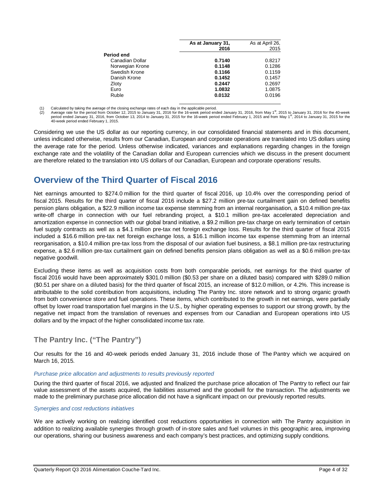|                 | As at January 31,<br>2016 | As at April 26,<br>2015 |
|-----------------|---------------------------|-------------------------|
| Period end      |                           |                         |
| Canadian Dollar | 0.7140                    | 0.8217                  |
| Norwegian Krone | 0.1148                    | 0.1286                  |
| Swedish Krone   | 0.1166                    | 0.1159                  |
| Danish Krone    | 0.1452                    | 0.1457                  |
| Zloty           | 0.2447                    | 0.2697                  |
| Euro            | 1.0832                    | 1.0875                  |
| Ruble           | 0.0132                    | 0.0196                  |

Calculated by taking the average of the closing exchange rates of each day in the applicable period.

Average rate for the period from October 12, 2015 to January 31, 2016 for the 16-week period ended January 31, 2016, from May 1<sup>st</sup>, 2015 to January 31, 2016 for the 40-week period ended January 31, 2016, from October 13, 2014 to January 31, 2015 for the 16-week period ended February 1, 2015 and from May 1<sup>st</sup>, 2014 to January 31, 2015 for the<br>40-week period ended February 1, 2015.

Considering we use the US dollar as our reporting currency, in our consolidated financial statements and in this document, unless indicated otherwise, results from our Canadian, European and corporate operations are translated into US dollars using the average rate for the period. Unless otherwise indicated, variances and explanations regarding changes in the foreign exchange rate and the volatility of the Canadian dollar and European currencies which we discuss in the present document are therefore related to the translation into US dollars of our Canadian, European and corporate operations' results.

# **Overview of the Third Quarter of Fiscal 2016**

Net earnings amounted to \$274.0 million for the third quarter of fiscal 2016, up 10.4% over the corresponding period of fiscal 2015. Results for the third quarter of fiscal 2016 include a \$27.2 million pre-tax curtailment gain on defined benefits pension plans obligation, a \$22.9 million income tax expense stemming from an internal reorganisation, a \$10.4 million pre-tax write-off charge in connection with our fuel rebranding project, a \$10.1 million pre-tax accelerated depreciation and amortization expense in connection with our global brand initiative, a \$9.2 million pre-tax charge on early termination of certain fuel supply contracts as well as a \$4.1 million pre-tax net foreign exchange loss. Results for the third quarter of fiscal 2015 included a \$16.6 million pre-tax net foreign exchange loss, a \$16.1 million income tax expense stemming from an internal reorganisation, a \$10.4 million pre-tax loss from the disposal of our aviation fuel business, a \$8.1 million pre-tax restructuring expense, a \$2.6 million pre-tax curtailment gain on defined benefits pension plans obligation as well as a \$0.6 million pre-tax negative goodwill.

Excluding these items as well as acquisition costs from both comparable periods, net earnings for the third quarter of fiscal 2016 would have been approximately \$301.0 million (\$0.53 per share on a diluted basis) compared with \$289.0 million (\$0.51 per share on a diluted basis) for the third quarter of fiscal 2015, an increase of \$12.0 million, or 4.2%. This increase is attributable to the solid contribution from acquisitions, including The Pantry Inc. store network and to strong organic growth from both convenience store and fuel operations. These items, which contributed to the growth in net earnings, were partially offset by lower road transportation fuel margins in the U.S., by higher operating expenses to support our strong growth, by the negative net impact from the translation of revenues and expenses from our Canadian and European operations into US dollars and by the impact of the higher consolidated income tax rate.

# **The Pantry Inc. ("The Pantry")**

Our results for the 16 and 40-week periods ended January 31, 2016 include those of The Pantry which we acquired on March 16, 2015.

## *Purchase price allocation and adjustments to results previously reported*

During the third quarter of fiscal 2016, we adjusted and finalized the purchase price allocation of The Pantry to reflect our fair value assessment of the assets acquired, the liabilities assumed and the goodwill for the transaction. The adjustments we made to the preliminary purchase price allocation did not have a significant impact on our previously reported results.

## *Synergies and cost reductions initiatives*

We are actively working on realizing identified cost reductions opportunities in connection with The Pantry acquisition in addition to realizing available synergies through growth of in-store sales and fuel volumes in this geographic area, improving our operations, sharing our business awareness and each company's best practices, and optimizing supply conditions.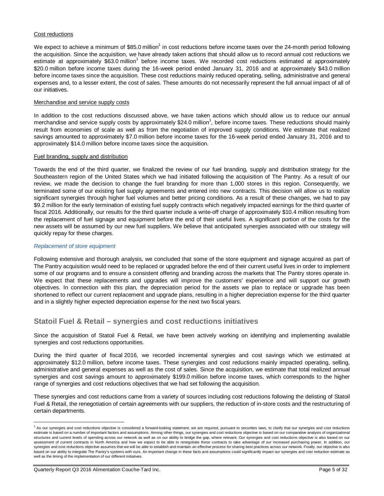## Cost reductions

We expect to achieve a minimum of \$85.0 million<sup>1</sup> in cost reductions before income taxes over the 24-month period following the acquisition. Since the acquisition, we have already taken actions that should allow us to record annual cost reductions we estimate at approximately \$63.0 million<sup>1</sup> before income taxes. We recorded cost reductions estimated at approximately \$20.0 million before income taxes during the 16-week period ended January 31, 2016 and at approximately \$43.0 million before income taxes since the acquisition. These cost reductions mainly reduced operating, selling, administrative and general expenses and, to a lesser extent, the cost of sales. These amounts do not necessarily represent the full annual impact of all of our initiatives.

### Merchandise and service supply costs

In addition to the cost reductions discussed above, we have taken actions which should allow us to reduce our annual merchandise and service supply costs by approximately \$24.0 million<sup>1</sup>, before income taxes. These reductions should mainly result from economies of scale as well as from the negotiation of improved supply conditions. We estimate that realized savings amounted to approximately \$7.0 million before income taxes for the 16-week period ended January 31, 2016 and to approximately \$14.0 million before income taxes since the acquisition.

#### Fuel branding, supply and distribution

Towards the end of the third quarter, we finalized the review of our fuel branding, supply and distribution strategy for the Southeastern region of the United States which we had initiated following the acquisition of The Pantry. As a result of our review, we made the decision to change the fuel branding for more than 1,000 stores in this region. Consequently, we terminated some of our existing fuel supply agreements and entered into new contracts. This decision will allow us to realize significant synergies through higher fuel volumes and better pricing conditions. As a result of these changes, we had to pay \$9.2 million for the early termination of existing fuel supply contracts which negatively impacted earnings for the third quarter of fiscal 2016. Additionally, our results for the third quarter include a write-off charge of approximately \$10.4 million resulting from the replacement of fuel signage and equipment before the end of their useful lives. A significant portion of the costs for the new assets will be assumed by our new fuel suppliers. We believe that anticipated synergies associated with our strategy will quickly repay for these charges.

## *Replacement of store equipment*

Following extensive and thorough analysis, we concluded that some of the store equipment and signage acquired as part of The Pantry acquisition would need to be replaced or upgraded before the end of their current useful lives in order to implement some of our programs and to ensure a consistent offering and branding across the markets that The Pantry stores operate in. We expect that these replacements and upgrades will improve the customers' experience and will support our growth objectives. In connection with this plan, the depreciation period for the assets we plan to replace or upgrade has been shortened to reflect our current replacement and upgrade plans, resulting in a higher depreciation expense for the third quarter and in a slightly higher expected depreciation expense for the next two fiscal years.

## **Statoil Fuel & Retail – synergies and cost reductions initiatives**

Since the acquisition of Statoil Fuel & Retail, we have been actively working on identifying and implementing available synergies and cost reductions opportunities.

During the third quarter of fiscal 2016, we recorded incremental synergies and cost savings which we estimated at approximately \$12.0 million, before income taxes. These synergies and cost reductions mainly impacted operating, selling, administrative and general expenses as well as the cost of sales. Since the acquisition, we estimate that total realized annual synergies and cost savings amount to approximately \$199.0 million before income taxes, which corresponds to the higher range of synergies and cost reductions objectives that we had set following the acquisition.

These synergies and cost reductions came from a variety of sources including cost reductions following the delisting of Statoil Fuel & Retail, the renegotiation of certain agreements with our suppliers, the reduction of in-store costs and the restructuring of certain departments.

<sup>1&</sup>lt;br>As our synergies and cost reductions objective is considered a forward-looking statement, we are required, pursuant to securities laws, to clarify that our synergies and cost reductions estimate is based on a number of important factors and assumptions. Among other things, our synergies and cost reductions objective is based on our comparative analysis of organizational structures and current levels of spending across our network as well as on our ability to bridge the gap, where relevant. Our synergies and cost reductions objective is also based on our assessment of current contracts in North America and how we expect to be able to renegotiate these contracts to take advantage of our increased purchasing power. In addition, our synergies and cost reductions objective assumes that we will be able to establish and maintain an effective process for sharing best practices across our network. Finally, our objective is also based on our ability to integrate The Pantry's systems with ours. An important change in these facts and assumptions could significantly impact our synergies and cost reduction estimate as well as the timing of the implementation of our different initiatives.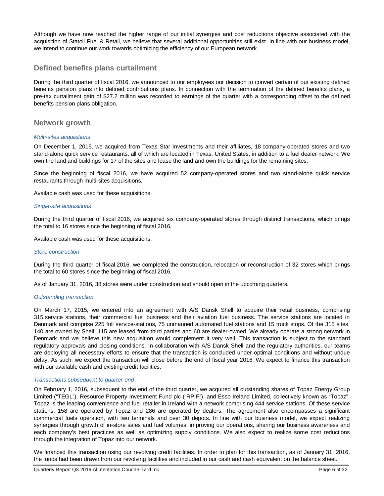Although we have now reached the higher range of our initial synergies and cost reductions objective associated with the acquisition of Statoil Fuel & Retail, we believe that several additional opportunities still exist. In line with our business model, we intend to continue our work towards optimizing the efficiency of our European network.

## **Defined benefits plans curtailment**

During the third quarter of fiscal 2016, we announced to our employees our decision to convert certain of our existing defined benefits pension plans into defined contributions plans. In connection with the termination of the defined benefits plans, a pre-tax curtailment gain of \$27.2 million was recorded to earnings of the quarter with a corresponding offset to the defined benefits pension plans obligation.

## **Network growth**

## *Multi-sites acquisitions*

On December 1, 2015, we acquired from Texas Star Investments and their affiliates, 18 company-operated stores and two stand-alone quick service restaurants, all of which are located in Texas, United States, in addition to a fuel dealer network. We own the land and buildings for 17 of the sites and lease the land and own the buildings for the remaining sites.

Since the beginning of fiscal 2016, we have acquired 52 company-operated stores and two stand-alone quick service restaurants through multi-sites acquisitions.

Available cash was used for these acquisitions.

#### *Single-site acquisitions*

During the third quarter of fiscal 2016, we acquired six company-operated stores through distinct transactions, which brings the total to 16 stores since the beginning of fiscal 2016.

Available cash was used for these acquisitions.

## *Store construction*

During the third quarter of fiscal 2016, we completed the construction, relocation or reconstruction of 32 stores which brings the total to 60 stores since the beginning of fiscal 2016.

As of January 31, 2016, 38 stores were under construction and should open in the upcoming quarters.

#### *Outstanding transaction*

On March 17, 2015, we entered into an agreement with A/S Dansk Shell to acquire their retail business, comprising 315 service stations, their commercial fuel business and their aviation fuel business. The service stations are located in Denmark and comprise 225 full service-stations, 75 unmanned automated fuel stations and 15 truck stops. Of the 315 sites, 140 are owned by Shell, 115 are leased from third parties and 60 are dealer-owned. We already operate a strong network in Denmark and we believe this new acquisition would complement it very well. This transaction is subject to the standard regulatory approvals and closing conditions. In collaboration with A/S Dansk Shell and the regulatory authorities, our teams are deploying all necessary efforts to ensure that the transaction is concluded under optimal conditions and without undue delay. As such, we expect the transaction will close before the end of fiscal year 2016. We expect to finance this transaction with our available cash and existing credit facilities.

#### *Transactions subsequent to quarter-end*

On February 1, 2016, subsequent to the end of the third quarter, we acquired all outstanding shares of Topaz Energy Group Limited ("TEGL"), Resource Property Investment Fund plc ("RPIF"), and Esso Ireland Limited, collectively known as "Topaz". Topaz is the leading convenience and fuel retailer in Ireland with a network comprising 444 service stations. Of these service stations, 158 are operated by Topaz and 286 are operated by dealers. The agreement also encompasses a significant commercial fuels operation, with two terminals and over 30 depots. In line with our business model, we expect realizing synergies through growth of in-store sales and fuel volumes, improving our operations, sharing our business awareness and each company's best practices as well as optimizing supply conditions. We also expect to realize some cost reductions through the integration of Topaz into our network.

We financed this transaction using our revolving credit facilities. In order to plan for this transaction, as of January 31, 2016, the funds had been drawn from our revolving facilities and included in our cash and cash equivalent on the balance sheet.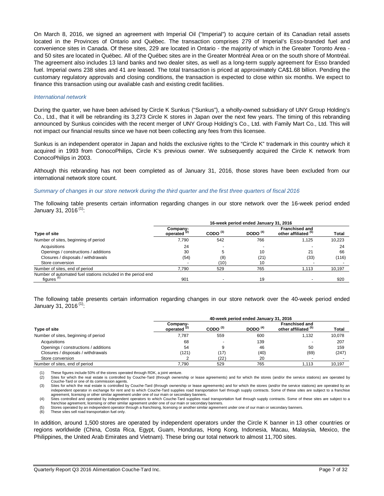On March 8, 2016, we signed an agreement with Imperial Oil ("Imperial") to acquire certain of its Canadian retail assets located in the Provinces of Ontario and Québec. The transaction comprises 279 of Imperial's Esso-branded fuel and convenience sites in Canada. Of these sites, 229 are located in Ontario - the majority of which in the Greater Toronto Area and 50 sites are located in Québec. All of the Québec sites are in the Greater Montréal Area or on the south shore of Montréal. The agreement also includes 13 land banks and two dealer sites, as well as a long-term supply agreement for Esso branded fuel. Imperial owns 238 sites and 41 are leased. The total transaction is priced at approximately CA\$1.68 billion. Pending the customary regulatory approvals and closing conditions, the transaction is expected to close within six months. We expect to finance this transaction using our available cash and existing credit facilities.

#### *International network*

During the quarter, we have been advised by Circle K Sunkus ("Sunkus"), a wholly-owned subsidiary of UNY Group Holding's Co., Ltd., that it will be rebranding its 3,273 Circle K stores in Japan over the next few years. The timing of this rebranding announced by Sunkus coincides with the recent merger of UNY Group Holding's Co., Ltd. with Family Mart Co., Ltd. This will not impact our financial results since we have not been collecting any fees from this licensee.

Sunkus is an independent operator in Japan and holds the exclusive rights to the "Circle K" trademark in this country which it acquired in 1993 from ConocoPhilips, Circle K's previous owner. We subsequently acquired the Circle K network from ConocoPhilips in 2003.

Although this rebranding has not been completed as of January 31, 2016, those stores have been excluded from our international network store count.

#### *Summary of changes in our store network during the third quarter and the first three quarters of fiscal 2016*

The following table presents certain information regarding changes in our store network over the 16-week period ended January 31, 2016 (1):

|                                                              | 16-week period ended January 31, 2016 |               |                          |                                               |              |  |
|--------------------------------------------------------------|---------------------------------------|---------------|--------------------------|-----------------------------------------------|--------------|--|
| Type of site                                                 | Company-<br>operated <sup>(2)</sup>   | CODO $^{(3)}$ | DODO $(4)$               | <b>Franchised and</b><br>other affiliated (5) | <b>Total</b> |  |
| Number of sites, beginning of period                         | 7.790                                 | 542           | 766                      | 1.125                                         | 10,223       |  |
| Acquisitions                                                 | 24                                    |               | $\overline{\phantom{a}}$ |                                               | 24           |  |
| Openings / constructions / additions                         | 30                                    |               | 10                       | 21                                            | 66           |  |
| Closures / disposals / withdrawals                           | (54)                                  | (8)           | (21)                     | (33)                                          | (116)        |  |
| Store conversion                                             | $\overline{\phantom{a}}$              | (10)          | 10                       |                                               |              |  |
| Number of sites, end of period                               | 7.790                                 | 529           | 765                      | 1.113                                         | 10.197       |  |
| Number of automated fuel stations included in the period end |                                       |               |                          |                                               |              |  |
| figures <sup>(6)</sup>                                       | 901                                   |               | 19                       |                                               | 920          |  |

The following table presents certain information regarding changes in our store network over the 40-week period ended January 31, 2016<sup>(1)</sup>:

|                                      |                            | 40-week period ended January 31, 2016 |            |                                               |              |  |  |  |
|--------------------------------------|----------------------------|---------------------------------------|------------|-----------------------------------------------|--------------|--|--|--|
| Type of site                         | Company-<br>operated $(2)$ | CODO $^{(3)}$                         | DODO $(4)$ | <b>Franchised and</b><br>other affiliated (5) | <b>Total</b> |  |  |  |
| Number of sites, beginning of period | 7.787                      | 559                                   | 600        | 1,132                                         | 10,078       |  |  |  |
| Acquisitions                         | 68                         |                                       | 139        |                                               | 207          |  |  |  |
| Openings / constructions / additions | 54                         |                                       | 46         | 50                                            | 159          |  |  |  |
| Closures / disposals / withdrawals   | (121)                      | (17)                                  | (40)       | (69)                                          | (247)        |  |  |  |
| Store conversion                     |                            | (22)                                  | 20         |                                               |              |  |  |  |
| Number of sites, end of period       | 7.790                      | 529                                   | 765        | 1.113                                         | 10.197       |  |  |  |

(1) These figures include 50% of the stores operated through RDK, a joint venture<br>(2) Sites for which the real estate is controlled by Couche-Tard (through owner

Sites for which the real estate is controlled by Couche-Tard (through ownership or lease agreements) and for which the stores (and/or the service stations) are operated by Couche-Tard or one of its commission agents.

Sites for which the real estate is controlled by Couche-Tard (through ownership or lease agreements) and for which the stores (and/or the service stations) are operated by an independent operator in exchange for rent and to which Couche-Tard supplies road transportation fuel through supply contracts. Some of these sites are subject to a franchise agreement, licensing or other similar agreement under one of our main or secondary banners.<br>(4) Sites controlled and operated by independent operators to which Couche-Tard supplies road transportation fuel through supply c

franchise agreement, licensing or other similar agreement under one of our main or secondary banners.

(5) Stores operated by an independent operator through a franchising, licensing or another similar agreement under one of our main or secondary banners.<br>(6) These sites sell road transportation fuel only.

These sites sell road transportation fuel only.

In addition, around 1,500 stores are operated by independent operators under the Circle K banner in 13 other countries or regions worldwide (China, Costa Rica, Egypt, Guam, Honduras, Hong Kong, Indonesia, Macau, Malaysia, Mexico, the Philippines, the United Arab Emirates and Vietnam). These bring our total network to almost 11,700 sites.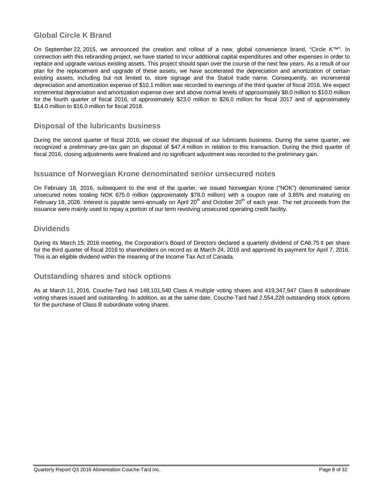# **Global Circle K Brand**

On September 22, 2015, we announced the creation and rollout of a new, global convenience brand, "Circle K™". In connection with this rebranding project, we have started to incur additional capital expenditures and other expenses in order to replace and upgrade various existing assets. This project should span over the course of the next few years. As a result of our plan for the replacement and upgrade of these assets, we have accelerated the depreciation and amortization of certain existing assets, including but not limited to, store signage and the Statoil trade name. Consequently, an incremental depreciation and amortization expense of \$10.1 million was recorded to earnings of the third quarter of fiscal 2016. We expect incremental depreciation and amortization expense over and above normal levels of approximately \$8.0 million to \$10.0 million for the fourth quarter of fiscal 2016, of approximately \$23.0 million to \$26.0 million for fiscal 2017 and of approximately \$14.0 million to \$16.0 million for fiscal 2018.

# **Disposal of the lubricants business**

During the second quarter of fiscal 2016, we closed the disposal of our lubricants business. During the same quarter, we recognized a preliminary pre-tax gain on disposal of \$47.4 million in relation to this transaction. During the third quarter of fiscal 2016, closing adjustments were finalized and no significant adjustment was recorded to the preliminary gain.

## **Issuance of Norwegian Krone denominated senior unsecured notes**

On February 18, 2016, subsequent to the end of the quarter, we issued Norwegian Krone ("NOK") denominated senior unsecured notes totaling NOK 675.0 million (approximately \$78.0 million) with a coupon rate of 3.85% and maturing on February 18, 2026. Interest is payable semi-annually on April  $20<sup>th</sup>$  and October  $20<sup>th</sup>$  of each year. The net proceeds from the issuance were mainly used to repay a portion of our term revolving unsecured operating credit facility.

## **Dividends**

During its March 15, 2016 meeting, the Corporation's Board of Directors declared a quarterly dividend of CA6.75  $\phi$  per share for the third quarter of fiscal 2016 to shareholders on record as at March 24, 2016 and approved its payment for April 7, 2016. This is an eligible dividend within the meaning of the Income Tax Act of Canada.

## **Outstanding shares and stock options**

As at March 11, 2016, Couche-Tard had 148,101,540 Class A multiple voting shares and 419,347,947 Class B subordinate voting shares issued and outstanding. In addition, as at the same date, Couche-Tard had 2,554,228 outstanding stock options for the purchase of Class B subordinate voting shares.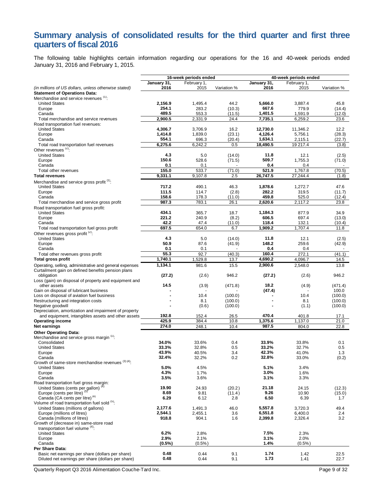# **Summary analysis of consolidated results for the third quarter and first three quarters of fiscal 2016**

The following table highlights certain information regarding our operations for the 16 and 40-week periods ended January 31, 2016 and February 1, 2015.

|                                                                                                        | 16-week periods ended |              |                    | 40-week periods ended |                |                    |  |
|--------------------------------------------------------------------------------------------------------|-----------------------|--------------|--------------------|-----------------------|----------------|--------------------|--|
|                                                                                                        | January 31,           | February 1,  |                    | January 31,           | February 1,    |                    |  |
| (in millions of US dollars, unless otherwise stated)                                                   | 2016                  | 2015         | Variation %        | 2016                  | 2015           | Variation %        |  |
| <b>Statement of Operations Data:</b><br>Merchandise and service revenues (1):                          |                       |              |                    |                       |                |                    |  |
| <b>United States</b>                                                                                   | 2,156.9               | 1,495.4      | 44.2               | 5,666.0               | 3,887.4        | 45.8               |  |
| Europe                                                                                                 | 254.1                 | 283.2        | (10.3)             | 667.6                 | 779.9          | (14.4)             |  |
| Canada                                                                                                 | 489.5                 | 553.3        | (11.5)             | 1,401.5               | 1,591.9        | (12.0)             |  |
| Total merchandise and service revenues                                                                 | 2,900.5               | 2,331.9      | 24.4               | 7,735.1               | 6,259.2        | 23.6               |  |
| Road transportation fuel revenues:<br><b>United States</b>                                             | 4,306.7               | 3,706.9      | 16.2               | 12,730.0              | 11,346.2       | 12.2               |  |
| Europe                                                                                                 | 1,414.8               | 1,839.0      | (23.1)             | 4,126.4               | 5,756.1        | (28.3)             |  |
| Canada                                                                                                 | 554.1                 | 696.3        | (20.4)             | 1,634.1               | 2,115.1        | (22.7)             |  |
| Total road transportation fuel revenues                                                                | 6,275.6               | 6,242.2      | 0.5                | 18,490.5              | 19 217.4       | (3.8)              |  |
| Other revenues <sup>(2)</sup> :                                                                        |                       |              |                    |                       |                |                    |  |
| <b>United States</b>                                                                                   | 4.3                   | 5.0          | (14.0)             | 11.8                  | 12.1           | (2.5)              |  |
| Europe<br>Canada                                                                                       | 150.6<br>0.1          | 528.6<br>0.1 | (71.5)             | 509.7<br>0.4          | 1,755.3<br>0.4 | (71.0)             |  |
| Total other revenues                                                                                   | 155.0                 | 533.7        | (71.0)             | 521.9                 | 1,767.8        | (70.5)             |  |
| <b>Total revenues</b>                                                                                  | 9,331.1               | 9,107.8      | 2.5                | 26,747.5              | 27,244.4       | (1.8)              |  |
| Merchandise and service gross profit (1):                                                              |                       |              |                    |                       |                |                    |  |
| <b>United States</b>                                                                                   | 717.2                 | 490.1        | 46.3               | 1,878.6               | 1,272.7        | 47.6               |  |
| Europe                                                                                                 | 111.5                 | 114.7        | (2.8)              | 282.2                 | 319.5          | (11.7)             |  |
| Canada                                                                                                 | 158.6                 | 178.3        | (11.0)             | 459.8                 | 525.0          | (12.4)             |  |
| Total merchandise and service gross profit                                                             | 987.3                 | 783.1        | 26.1               | 2,620.6               | 2,117.2        | 23.8               |  |
| Road transportation fuel gross profit:                                                                 | 434.1                 | 365.7        | 18.7               | 1,184.3               | 877.9          | 34.9               |  |
| <b>United States</b><br>Europe                                                                         | 221.2                 | 240.9        | (8.2)              | 606.5                 | 697.4          | (13.0)             |  |
| Canada                                                                                                 | 42.2                  | 47.4         | (11.0)             | 118.4                 | 132.1          | (10.4)             |  |
| Total road transportation fuel gross profit                                                            | 697.5                 | 654.0        | 6.7                | 1,909.2               | 1,707.4        | 11.8               |  |
| Other revenues gross profit <sup>(2)</sup> :                                                           |                       |              |                    |                       |                |                    |  |
| <b>United States</b>                                                                                   | 4.3                   | 5.0          | (14.0)             | 11.8                  | 12.1           | (2.5)              |  |
| Europe                                                                                                 | 50.9<br>0.1           | 87.6         | (41.9)             | 148.2                 | 259.6          | (42.9)             |  |
| Canada<br>Total other revenues gross profit                                                            | 55.3                  | 0.1<br>92.7  | (40.3)             | 0.4<br>160.4          | 0.4<br>272.1   | (41.1)             |  |
| Total gross profit                                                                                     | 1,740.1               | 1,529.8      | 13.7               | 4,690.2               | 4,096.7        | 14.5               |  |
| Operating, selling, administrative and general expenses                                                | 1,134.1               | 981.6        | 15.5               | 2,900.6               | 2,548.0        | 13.8               |  |
| Curtailment gain on defined benefits pension plans<br>obligation                                       | (27.2)                | (2.6)        | 946.2              | (27.2)                | (2.6)          | 946.2              |  |
| Loss (gain) on disposal of property and equipment and                                                  |                       |              |                    |                       |                |                    |  |
| other assets                                                                                           | 14.5                  | (3.9)        | (471.8)            | 18.2                  | (4.9)          | (471.4)            |  |
| Gain on disposal of lubricant business                                                                 |                       | 10.4         |                    | (47.4)                | 10.4           | 100.0              |  |
| Loss on disposal of aviation fuel business<br>Restructuring and integration costs                      |                       | 8.1          | (100.0)<br>(100.0) |                       | 8.1            | (100.0)<br>(100.0) |  |
| Negative goodwill                                                                                      |                       | (0.6)        | (100.0)            |                       | (1.1)          | (100.0)            |  |
| Depreciation, amortization and impairment of property                                                  |                       |              |                    |                       |                |                    |  |
| and equipment, intangibles assets and other assets                                                     | 192.8                 | 152.4        | 26.5               | 470.4                 | 401.8          | 17.1               |  |
| <b>Operating income</b>                                                                                | 425.9                 | 384.4        | 10.8               | 1,375.6               | 1,137.0        | 21.0               |  |
| Net earnings                                                                                           | 274.0                 | 248.1        | 10.4               | 987.5                 | 804.0          | 22.8               |  |
| <b>Other Operating Data:</b>                                                                           |                       |              |                    |                       |                |                    |  |
| Merchandise and service gross margin <sup>(1)</sup> :<br>Consolidated                                  | 34.0%                 | 33.6%        | 0.4                | 33.9%                 | 33.8%          | 0.1                |  |
| <b>United States</b>                                                                                   | 33.3%                 | 32.8%        | 0.5                | 33.2%                 | 32.7%          | 0.5                |  |
| Europe                                                                                                 | 43.9%                 | 40.5%        | 3.4                | 42.3%                 | 41.0%          | 1.3                |  |
| Canada                                                                                                 | 32.4%                 | 32.2%        | 0.2                | 32.8%                 | 33.0%          | (0.2)              |  |
| Growth of same-store merchandise revenues (3) (4).                                                     |                       |              |                    |                       |                |                    |  |
| <b>United States</b><br>Europe                                                                         | 5.0%<br>4.3%          | 4.5%<br>1.7% |                    | 5.1%<br>3.0%          | 3.4%<br>1.6%   |                    |  |
| Canada                                                                                                 | 3.5%                  | 3.6%         |                    | 3.1%                  | 3.3%           |                    |  |
| Road transportation fuel gross margin:                                                                 |                       |              |                    |                       |                |                    |  |
| United States (cents per gallon) <sup><sup>(4</sup></sup>                                              | 19.90                 | 24.93        | (20.2)             | 21.18                 | 24.15          | (12.3)             |  |
| Europe (cents per litre) <sup>(5)</sup>                                                                | 8.69                  | 9.81         | (11.4)             | 9.26                  | 10.90          | (15.0)             |  |
| Canada (CA cents per litre) <sup>(4)</sup><br>Volume of road transportation fuel sold (5).             | 6.29                  | 6.12         | 2.8                | 6.50                  | 6.39           | 1.7                |  |
| United States (millions of gallons)                                                                    | 2,177.6               | 1,491.3      | 46.0               | 5.557.8               | 3,720.3        | 49.4               |  |
| Europe (millions of litres)                                                                            | 2,544.1               | 2,455.1      | 3.6                | 6,551.8               | 6,400.0        | 2.4                |  |
| Canada (millions of litres)                                                                            | 918.8                 | 904.1        | 1.6                | 2,399.8               | 2,326.4        | 3.2                |  |
| Growth of (decrease in) same-store road                                                                |                       |              |                    |                       |                |                    |  |
| transportation fuel volume (4).                                                                        |                       |              |                    |                       |                |                    |  |
| <b>United States</b><br>Europe                                                                         | 6.2%<br>2.9%          | 2.8%<br>2.1% |                    | 7.5%<br>3.1%          | 2.3%<br>2.0%   |                    |  |
| Canada                                                                                                 | $(0.5\%)$             | (0.5%        |                    | 1.4%                  | $(0.5\%)$      |                    |  |
| Per Share Data:                                                                                        |                       |              |                    |                       |                |                    |  |
| Basic net earnings per share (dollars per share)<br>Diluted net earnings per share (dollars per share) | 0.48<br>0.48          | 0.44<br>0.44 | 9.1<br>9.1         | 1.74<br>1.73          | 1.42<br>1.41   | 22.5<br>22.7       |  |
|                                                                                                        |                       |              |                    |                       |                |                    |  |

Quarterly Report Q3 2016 Alimentation Couche-Tard Inc. Page 9 of 32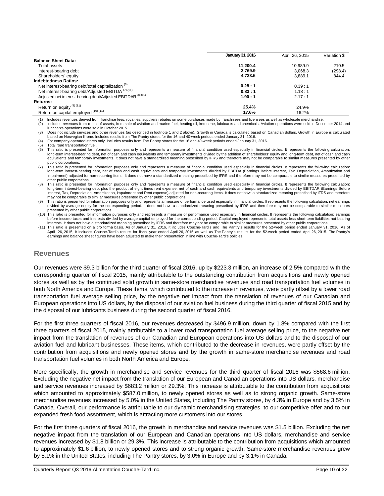|                                                               | <b>January 31, 2016</b> | April 26, 2015 | Variation \$ |
|---------------------------------------------------------------|-------------------------|----------------|--------------|
| <b>Balance Sheet Data:</b>                                    |                         |                |              |
| Total assets                                                  | 11.200.4                | 10.989.9       | 210.5        |
| Interest-bearing debt                                         | 2.769.9                 | 3.068.3        | (298.4)      |
| Shareholders' equity                                          | 4,733.5                 | 3.889.1        | 844.4        |
| <b>Indebtedness Ratios:</b>                                   |                         |                |              |
| Net interest-bearing debt/total capitalization <sup>(6)</sup> | 0.28:1                  | 0.39:1         |              |
| Net interest-bearing debt/Adjusted EBITDA (7) (11)            | 0.83:1                  | 1.18:1         |              |
| Adjusted net interest-bearing debt/Adjusted EBITDAR (8) (11)  | 1.90:1                  | 2.17:1         |              |
| <b>Returns:</b>                                               |                         |                |              |
| Return on equity (9) (11)                                     | 25.4%                   | 24.9%          |              |
| Return on capital employed (10) (11)                          | 17.6%                   | 16.2%          |              |

(1) Includes revenues derived from franchise fees, royalties, suppliers rebates on some purchases made by franchisees and licensees as well as wholesale merchandise.<br>(2) Includes revenues from rental of assets, from sale o Includes revenues from rental of assets, from sale of aviation and marine fuel, heating oil, kerosene, lubricants and chemicals. Aviation operations were sold in December 2014 and

lubricants operations were sold in October 2015.

(3) Does not include services and other revenues (as described in footnote 1 and 2 above). Growth in Canada is calculated based on Canadian dollars. Growth in Europe is calculated

based on Norwegian Krone. Includes results from The Pantry stores for the 16 and 40-week periods ended January 31, 2016.<br>(4) For company-operated stores only. Includes results from The Pantry stores for the 16 and 40-week

(5) Total road transportation fuel.<br>(6) This ratio is presented for in This ratio is presented for information purposes only and represents a measure of financial condition used especially in financial circles. It represents the following calculation: long-term interest-bearing debt, net of cash and cash equivalents and temporary investments divided by the addition of shareholders' equity and long-term debt, net of cash and cash .<br>Ivalents and temporary investments. It does not have a standardized meaning prescribed by IFRS and therefore may not be comparable to similar measures presented by other

public corporations.<br>(7) This ratio is presented for information purposes only and represents a measure of financial condition used especially in financial circles. It represents the following calculation: long-term interest-bearing debt, net of cash and cash equivalents and temporary investments divided by EBITDA (Earnings Before Interest, Tax, Depreciation, Amortization and Impairment) adjusted for non-recurring items. It does not have a standardized meaning prescribed by IFRS and therefore may not be comparable to similar measures presented by other public corporations.

(8) This ratio is presented for information purposes only and represents a measure of financial condition used especially in financial circles. It represents the following calculation: long-term interest-bearing debt plus the product of eight times rent expense, net of cash and cash equivalents and temporary investments divided by EBITDAR (Earnings Before Interest, Tax, Depreciation, Amortization, Impairment and Rent expense) adjusted for non-recurring items. It does not have a standardized meaning prescribed by IFRS and therefore may not be comparable to similar measures presented by other public corporations.

This ratio is presented for information purposes only and represents a measure of performance used especially in financial circles. It represents the following calculation: net earnings divided by average equity for the corresponding period. It does not have a standardized meaning prescribed by IFRS and therefore may not be comparable to similar measures presented by other public corporations.

(10) This ratio is presented for information purposes only and represents a measure of performance used especially in financial circles. It represents the following calculation: earnings before income taxes and interests divided by average capital employed for the corresponding period. Capital employed represents total assets less short-term liabilities not bearing<br>interests. It does not have a standardize

(11) This ratio is presented on a pro forma basis. As of January 31, 2016, it includes Couche-Tard's and The Pantry's results for the 52-week period ended January 31, 2016. As of April 26, 2015, it includes Couche-Tard's results for fiscal year ended April 26, 2015 as well as The Pantry's results for the 52-week period ended April 26, 2015. The Pantry's earnings and balance sheet figures have been adjusted to make their presentation in line with Couche-Tard's policies.

## **Revenues**

Our revenues were \$9.3 billion for the third quarter of fiscal 2016, up by \$223.3 million, an increase of 2.5% compared with the corresponding quarter of fiscal 2015, mainly attributable to the outstanding contribution from acquisitions and newly opened stores as well as by the continued solid growth in same-store merchandise revenues and road transportation fuel volumes in both North America and Europe. These items, which contributed to the increase in revenues, were partly offset by a lower road transportation fuel average selling price, by the negative net impact from the translation of revenues of our Canadian and European operations into US dollars, by the disposal of our aviation fuel business during the third quarter of fiscal 2015 and by the disposal of our lubricants business during the second quarter of fiscal 2016.

For the first three quarters of fiscal 2016, our revenues decreased by \$496.9 million, down by 1.8% compared with the first three quarters of fiscal 2015, mainly attributable to a lower road transportation fuel average selling price, to the negative net impact from the translation of revenues of our Canadian and European operations into US dollars and to the disposal of our aviation fuel and lubricant businesses. These items, which contributed to the decrease in revenues, were partly offset by the contribution from acquisitions and newly opened stores and by the growth in same-store merchandise revenues and road transportation fuel volumes in both North America and Europe.

More specifically, the growth in merchandise and service revenues for the third quarter of fiscal 2016 was \$568.6 million. Excluding the negative net impact from the translation of our European and Canadian operations into US dollars, merchandise and service revenues increased by \$683.2 million or 29.3%. This increase is attributable to the contribution from acquisitions which amounted to approximately \$587.0 million, to newly opened stores as well as to strong organic growth. Same-store merchandise revenues increased by 5.0% in the United States, including The Pantry stores, by 4.3% in Europe and by 3.5% in Canada. Overall, our performance is attributable to our dynamic merchandising strategies, to our competitive offer and to our expanded fresh food assortment, which is attracting more customers into our stores.

For the first three quarters of fiscal 2016, the growth in merchandise and service revenues was \$1.5 billion. Excluding the net negative impact from the translation of our European and Canadian operations into US dollars, merchandise and service revenues increased by \$1.8 billion or 29.3%. This increase is attributable to the contribution from acquisitions which amounted to approximately \$1.6 billion, to newly opened stores and to strong organic growth. Same-store merchandise revenues grew by 5.1% in the United States, including The Pantry stores, by 3.0% in Europe and by 3.1% in Canada.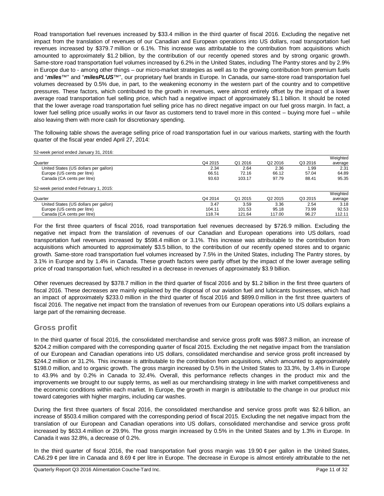Road transportation fuel revenues increased by \$33.4 million in the third quarter of fiscal 2016. Excluding the negative net impact from the translation of revenues of our Canadian and European operations into US dollars, road transportation fuel revenues increased by \$379.7 million or 6.1%. This increase was attributable to the contribution from acquisitions which amounted to approximately \$1.2 billion, by the contribution of our recently opened stores and by strong organic growth. Same-store road transportation fuel volumes increased by 6.2% in the United States, including The Pantry stores and by 2.9% in Europe due to - among other things – our micro-market strategies as well as to the growing contribution from premium fuels and "*miles*™" and "*milesPLUS*™", our proprietary fuel brands in Europe. In Canada, our same-store road transportation fuel volumes decreased by 0.5% due, in part, to the weakening economy in the western part of the country and to competitive pressures. These factors, which contributed to the growth in revenues, were almost entirely offset by the impact of a lower average road transportation fuel selling price, which had a negative impact of approximately \$1.1 billion. It should be noted that the lower average road transportation fuel selling price has no direct negative impact on our fuel gross margin. In fact, a lower fuel selling price usually works in our favor as customers tend to travel more in this context – buying more fuel – while also leaving them with more cash for discretionary spending.

The following table shows the average selling price of road transportation fuel in our various markets, starting with the fourth quarter of the fiscal year ended April 27, 2014:

52-week period ended January 31, 2016:

|                                        |         |         |         |         | Weighted |
|----------------------------------------|---------|---------|---------|---------|----------|
| Quarter                                | Q4 2015 | Q1 2016 | Q2 2016 | Q3 2016 | average  |
| United States (US dollars per gallon)  | 2.34    | 2.64    | 2.36    | 1.99    | 2.31     |
| Europe (US cents per litre)            | 66.51   | 72.16   | 66.12   | 57.04   | 64.89    |
| Canada (CA cents per litre)            | 93.63   | 103.17  | 97.79   | 88.41   | 95.35    |
| 52-week period ended February 1, 2015: |         |         |         |         |          |
|                                        |         |         |         |         | Weighted |
| Quarter                                | Q4 2014 | Q1 2015 | Q2 2015 | Q3 2015 | average  |
| United States (US dollars per gallon)  | 3.47    | 3.59    | 3.36    | 2.54    | 3.18     |
| Europe (US cents per litre)            | 104.11  | 101.53  | 95.18   | 73.99   | 92.53    |
| Canada (CA cents per litre)            | 118.74  | 121.64  | 117.00  | 96.27   | 112.11   |

For the first three quarters of fiscal 2016, road transportation fuel revenues decreased by \$726.9 million. Excluding the negative net impact from the translation of revenues of our Canadian and European operations into US dollars, road transportation fuel revenues increased by \$598.4 million or 3.1%. This increase was attributable to the contribution from acquisitions which amounted to approximately \$3.5 billion, to the contribution of our recently opened stores and to organic growth. Same-store road transportation fuel volumes increased by 7.5% in the United States, including The Pantry stores, by 3.1% in Europe and by 1.4% in Canada. These growth factors were partly offset by the impact of the lower average selling price of road transportation fuel, which resulted in a decrease in revenues of approximately \$3.9 billion.

Other revenues decreased by \$378.7 million in the third quarter of fiscal 2016 and by \$1.2 billion in the first three quarters of fiscal 2016. These decreases are mainly explained by the disposal of our aviation fuel and lubricants businesses, which had an impact of approximately \$233.0 million in the third quarter of fiscal 2016 and \$899.0 million in the first three quarters of fiscal 2016. The negative net impact from the translation of revenues from our European operations into US dollars explains a large part of the remaining decrease.

# **Gross profit**

In the third quarter of fiscal 2016, the consolidated merchandise and service gross profit was \$987.3 million, an increase of \$204.2 million compared with the corresponding quarter of fiscal 2015. Excluding the net negative impact from the translation of our European and Canadian operations into US dollars, consolidated merchandise and service gross profit increased by \$244.2 million or 31.2%. This increase is attributable to the contribution from acquisitions, which amounted to approximately \$198.0 million, and to organic growth. The gross margin increased by 0.5% in the United States to 33.3%, by 3.4% in Europe to 43.9% and by 0.2% in Canada to 32.4%. Overall, this performance reflects changes in the product mix and the improvements we brought to our supply terms, as well as our merchandising strategy in line with market competitiveness and the economic conditions within each market. In Europe, the growth in margin is attributable to the change in our product mix toward categories with higher margins, including car washes.

During the first three quarters of fiscal 2016, the consolidated merchandise and service gross profit was \$2.6 billion, an increase of \$503.4 million compared with the corresponding period of fiscal 2015. Excluding the net negative impact from the translation of our European and Canadian operations into US dollars, consolidated merchandise and service gross profit increased by \$633.4 million or 29.9%. The gross margin increased by 0.5% in the United States and by 1.3% in Europe. In Canada it was 32.8%, a decrease of 0.2%.

In the third quarter of fiscal 2016, the road transportation fuel gross margin was 19.90 ¢ per gallon in the United States, CA6.29  $\phi$  per litre in Canada and 8.69  $\phi$  per litre in Europe. The decrease in Europe is almost entirely attributable to the net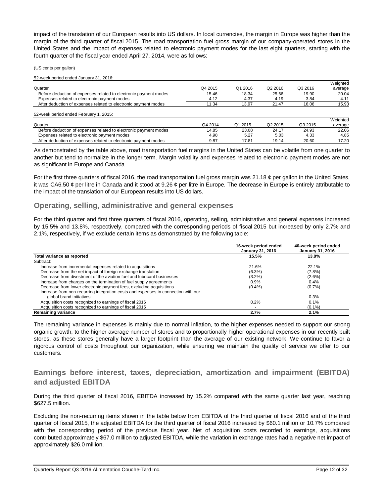impact of the translation of our European results into US dollars. In local currencies, the margin in Europe was higher than the margin of the third quarter of fiscal 2015. The road transportation fuel gross margin of our company-operated stores in the United States and the impact of expenses related to electronic payment modes for the last eight quarters, starting with the fourth quarter of the fiscal year ended April 27, 2014, were as follows:

(US cents per gallon)

52-week period ended January 31, 2016:

|                                                                  |         |         |                     |         | Weighted |
|------------------------------------------------------------------|---------|---------|---------------------|---------|----------|
| Quarter                                                          | Q4 2015 | Q1 2016 | Q2 2016             | Q3 2016 | average  |
| Before deduction of expenses related to electronic payment modes | 15.46   | 18.34   | 25.66               | 19.90   | 20.04    |
| Expenses related to electronic payment modes                     | 4.12    | 4.37    | 4.19                | 3.84    | 4.11     |
| After deduction of expenses related to electronic payment modes  | 11.34   | 13.97   | 21.47               | 16.06   | 15.93    |
| 52-week period ended February 1, 2015:                           |         |         |                     |         |          |
|                                                                  |         |         |                     |         | Weighted |
| Quarter                                                          | Q4 2014 | Q1 2015 | Q <sub>2</sub> 2015 | Q3 2015 | average  |
| Before deduction of expenses related to electronic payment modes | 14.85   | 23.08   | 24.17               | 24.93   | 22.06    |
| Expenses related to electronic payment modes                     | 4.98    | 5.27    | 5.03                | 4.33    | 4.85     |

As demonstrated by the table above, road transportation fuel margins in the United States can be volatile from one quarter to another but tend to normalize in the longer term. Margin volatility and expenses related to electronic payment modes are not as significant in Europe and Canada.

After deduction of expenses related to electronic payment modes 8.87 17.81 19.14 20.60 17.20

For the first three quarters of fiscal 2016, the road transportation fuel gross margin was 21.18  $\phi$  per gallon in the United States, it was CA6.50  $\phi$  per litre in Canada and it stood at 9.26  $\phi$  per litre in Europe. The decrease in Europe is entirely attributable to the impact of the translation of our European results into US dollars.

## **Operating, selling, administrative and general expenses**

For the third quarter and first three quarters of fiscal 2016, operating, selling, administrative and general expenses increased by 15.5% and 13.8%, respectively, compared with the corresponding periods of fiscal 2015 but increased by only 2.7% and 2.1%, respectively, if we exclude certain items as demonstrated by the following table:

|                                                                                   | 16-week period ended<br><b>January 31, 2016</b> | 40-week period ended<br><b>January 31, 2016</b> |
|-----------------------------------------------------------------------------------|-------------------------------------------------|-------------------------------------------------|
| Total variance as reported                                                        | 15.5%                                           | 13.8%                                           |
| Subtract:                                                                         |                                                 |                                                 |
| Increase from incremental expenses related to acquisitions                        | 21.6%                                           | 22.1%                                           |
| Decrease from the net impact of foreign exchange translation                      | $(6.3\%)$                                       | $(7.8\%)$                                       |
| Decrease from divestment of the aviation fuel and lubricant businesses            | $(3.2\%)$                                       | $(2.6\%)$                                       |
| Increase from charges on the termination of fuel supply agreements                | 0.9%                                            | $0.4\%$                                         |
| Decrease from lower electronic payment fees, excluding acquisitions               | $(0.4\%)$                                       | $(0.7\%)$                                       |
| Increase from non-recurring integration costs and expenses in connection with our |                                                 |                                                 |
| global brand initiatives                                                          | $\overline{\phantom{0}}$                        | 0.3%                                            |
| Acquisition costs recognized to earnings of fiscal 2016                           | 0.2%                                            | $0.1\%$                                         |
| Acquisition costs recognized to earnings of fiscal 2015                           | $\overline{\phantom{0}}$                        | $(0.1\%)$                                       |
| <b>Remaining variance</b>                                                         | 2.7%                                            | 2.1%                                            |

The remaining variance in expenses is mainly due to normal inflation, to the higher expenses needed to support our strong organic growth, to the higher average number of stores and to proportionally higher operational expenses in our recently built stores, as these stores generally have a larger footprint than the average of our existing network. We continue to favor a rigorous control of costs throughout our organization, while ensuring we maintain the quality of service we offer to our customers.

# **Earnings before interest, taxes, depreciation, amortization and impairment (EBITDA) and adjusted EBITDA**

During the third quarter of fiscal 2016, EBITDA increased by 15.2% compared with the same quarter last year, reaching \$627.5 million.

Excluding the non-recurring items shown in the table below from EBITDA of the third quarter of fiscal 2016 and of the third quarter of fiscal 2015, the adjusted EBITDA for the third quarter of fiscal 2016 increased by \$60.1 million or 10.7% compared with the corresponding period of the previous fiscal year. Net of acquisition costs recorded to earnings, acquisitions contributed approximately \$67.0 million to adjusted EBITDA, while the variation in exchange rates had a negative net impact of approximately \$26.0 million.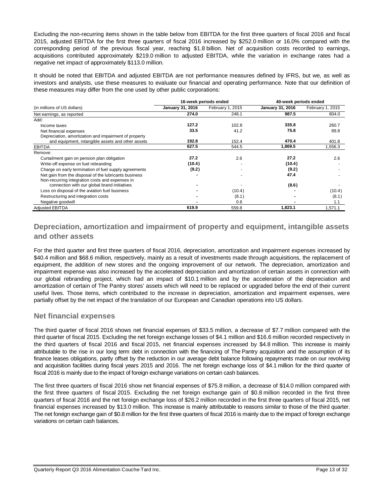Excluding the non-recurring items shown in the table below from EBITDA for the first three quarters of fiscal 2016 and fiscal 2015, adjusted EBITDA for the first three quarters of fiscal 2016 increased by \$252.0 million or 16.0% compared with the corresponding period of the previous fiscal year, reaching \$1.8 billion. Net of acquisition costs recorded to earnings, acquisitions contributed approximately \$219.0 million to adjusted EBITDA, while the variation in exchange rates had a negative net impact of approximately \$113.0 million.

It should be noted that EBITDA and adjusted EBITDA are not performance measures defined by IFRS, but we, as well as investors and analysts, use these measures to evaluate our financial and operating performance. Note that our definition of these measures may differ from the one used by other public corporations:

|                                                       |                         | 16-week periods ended | 40-week periods ended   |                  |  |
|-------------------------------------------------------|-------------------------|-----------------------|-------------------------|------------------|--|
| (in millions of US dollars)                           | <b>January 31, 2016</b> | February 1, 2015      | <b>January 31, 2016</b> | February 1, 2015 |  |
| Net earnings, as reported                             | 274.0                   | 248.1                 | 987.5                   | 804.0            |  |
| Add:                                                  |                         |                       |                         |                  |  |
| Income taxes                                          | 127.2                   | 102.8                 | 335.8                   | 260.7            |  |
| Net financial expenses                                | 33.5                    | 41.2                  | 75.8                    | 89.8             |  |
| Depreciation, amortization and impairment of property |                         |                       |                         |                  |  |
| and equipment, intangible assets and other assets     | 192.8                   | 152.4                 | 470.4                   | 401.8            |  |
| <b>EBITDA</b>                                         | 627.5                   | 544.5                 | 1,869.5                 | .556.3           |  |
| Remove:                                               |                         |                       |                         |                  |  |
| Curtailment gain on pension plan obligation           | 27.2                    | 2.6                   | 27.2                    | 2.6              |  |
| Write-off expense on fuel rebranding                  | (10.4)                  |                       | (10.4)                  |                  |  |
| Charge on early termination of fuel supply agreements | (9.2)                   |                       | (9.2)                   |                  |  |
| Net gain from the disposal of the lubricants business |                         |                       | 47.4                    |                  |  |
| Non-recurring integration costs and expenses in       |                         |                       |                         |                  |  |
| connection with our global brand initiatives          |                         |                       | (8.6)                   |                  |  |
| Loss on disposal of the aviation fuel business        |                         | (10.4)                |                         | (10.4)           |  |
| Restructuring and integration costs                   |                         | (8.1)                 |                         | (8.1)            |  |
| Negative goodwill                                     |                         | 0.6                   |                         | 1.1              |  |
| <b>Adjusted EBITDA</b>                                | 619.9                   | 559.8                 | 1,823.1                 | 1.571.1          |  |

# **Depreciation, amortization and impairment of property and equipment, intangible assets and other assets**

For the third quarter and first three quarters of fiscal 2016, depreciation, amortization and impairment expenses increased by \$40.4 million and \$68.6 million, respectively, mainly as a result of investments made through acquisitions, the replacement of equipment, the addition of new stores and the ongoing improvement of our network. The depreciation, amortization and impairment expense was also increased by the accelerated depreciation and amortization of certain assets in connection with our global rebranding project, which had an impact of \$10.1 million and by the acceleration of the depreciation and amortization of certain of The Pantry stores' assets which will need to be replaced or upgraded before the end of their current useful lives. Those items, which contributed to the increase in depreciation, amortization and impairment expenses, were partially offset by the net impact of the translation of our European and Canadian operations into US dollars.

# **Net financial expenses**

The third quarter of fiscal 2016 shows net financial expenses of \$33.5 million, a decrease of \$7.7 million compared with the third quarter of fiscal 2015. Excluding the net foreign exchange losses of \$4.1 million and \$16.6 million recorded respectively in the third quarters of fiscal 2016 and fiscal 2015, net financial expenses increased by \$4.8 million. This increase is mainly attributable to the rise in our long term debt in connection with the financing of The Pantry acquisition and the assumption of its finance leases obligations, partly offset by the reduction in our average debt balance following repayments made on our revolving and acquisition facilities during fiscal years 2015 and 2016. The net foreign exchange loss of \$4.1 million for the third quarter of fiscal 2016 is mainly due to the impact of foreign exchange variations on certain cash balances.

The first three quarters of fiscal 2016 show net financial expenses of \$75.8 million, a decrease of \$14.0 million compared with the first three quarters of fiscal 2015. Excluding the net foreign exchange gain of \$0.8 million recorded in the first three quarters of fiscal 2016 and the net foreign exchange loss of \$26.2 million recorded in the first three quarters of fiscal 2015, net financial expenses increased by \$13.0 million. This increase is mainly attributable to reasons similar to those of the third quarter. The net foreign exchange gain of \$0.8 million for the first three quarters of fiscal 2016 is mainly due to the impact of foreign exchange variations on certain cash balances.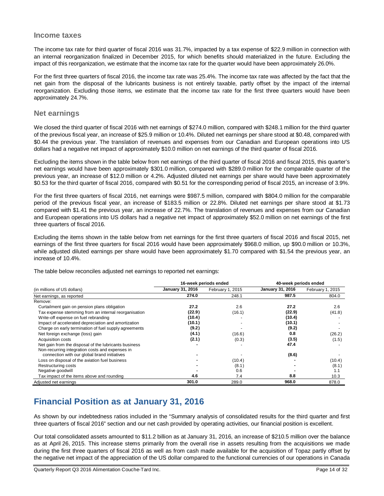## **Income taxes**

The income tax rate for third quarter of fiscal 2016 was 31.7%, impacted by a tax expense of \$22.9 million in connection with an internal reorganization finalized in December 2015, for which benefits should materialized in the future. Excluding the impact of this reorganization, we estimate that the income tax rate for the quarter would have been approximately 26.0%.

For the first three quarters of fiscal 2016, the income tax rate was 25.4%. The income tax rate was affected by the fact that the net gain from the disposal of the lubricants business is not entirely taxable, partly offset by the impact of the internal reorganization. Excluding those items, we estimate that the income tax rate for the first three quarters would have been approximately 24.7%.

## **Net earnings**

We closed the third quarter of fiscal 2016 with net earnings of \$274.0 million, compared with \$248.1 million for the third quarter of the previous fiscal year, an increase of \$25.9 million or 10.4%. Diluted net earnings per share stood at \$0.48, compared with \$0.44 the previous year. The translation of revenues and expenses from our Canadian and European operations into US dollars had a negative net impact of approximately \$10.0 million on net earnings of the third quarter of fiscal 2016.

Excluding the items shown in the table below from net earnings of the third quarter of fiscal 2016 and fiscal 2015, this quarter's net earnings would have been approximately \$301.0 million, compared with \$289.0 million for the comparable quarter of the previous year, an increase of \$12.0 million or 4.2%. Adjusted diluted net earnings per share would have been approximately \$0.53 for the third quarter of fiscal 2016, compared with \$0.51 for the corresponding period of fiscal 2015, an increase of 3.9%.

For the first three quarters of fiscal 2016, net earnings were \$987.5 million, compared with \$804.0 million for the comparable period of the previous fiscal year, an increase of \$183.5 million or 22.8%. Diluted net earnings per share stood at \$1.73 compared with \$1.41 the previous year, an increase of 22.7%. The translation of revenues and expenses from our Canadian and European operations into US dollars had a negative net impact of approximately \$52.0 million on net earnings of the first three quarters of fiscal 2016.

Excluding the items shown in the table below from net earnings for the first three quarters of fiscal 2016 and fiscal 2015, net earnings of the first three quarters for fiscal 2016 would have been approximately \$968.0 million, up \$90.0 million or 10.3%, while adjusted diluted earnings per share would have been approximately \$1.70 compared with \$1.54 the previous year, an increase of 10.4%.

The table below reconciles adjusted net earnings to reported net earnings:

|                                                       |                  | 16-week periods ended | 40-week periods ended |                  |  |
|-------------------------------------------------------|------------------|-----------------------|-----------------------|------------------|--|
| (in millions of US dollars)                           | January 31, 2016 | February 1, 2015      | January 31, 2016      | February 1, 2015 |  |
| Net earnings, as reported                             | 274.0            | 248.1                 | 987.5                 | 804.0            |  |
| Remove:                                               |                  |                       |                       |                  |  |
| Curtailment gain on pension plans obligation          | 27.2             | 2.6                   | 27.2                  | 2.6              |  |
| Tax expense stemming from an internal reorganisation  | (22.9)           | (16.1)                | (22.9)                | (41.8)           |  |
| Write-off expense on fuel rebranding                  | (10.4)           |                       | (10.4)                |                  |  |
| Impact of accelerated depreciation and amortization   | (10.1)           |                       | (10.1)                |                  |  |
| Charge on early termination of fuel supply agreements | (9.2)            |                       | (9.2)                 |                  |  |
| Net foreign exchange (loss) gain                      | (4.1)            | (16.6)                | 0.8                   | (26.2)           |  |
| Acquisition costs                                     | (2.1)            | (0.3)                 | (3.5)                 | (1.5)            |  |
| Net gain from the disposal of the lubricants business |                  |                       | 47.4                  |                  |  |
| Non-recurring integration costs and expenses in       |                  |                       |                       |                  |  |
| connection with our global brand initiatives          |                  |                       | (8.6)                 |                  |  |
| Loss on disposal of the aviation fuel business        |                  | (10.4)                |                       | (10.4)           |  |
| Restructuring costs                                   |                  | (8.1)                 |                       | (8.1)            |  |
| Negative goodwill                                     |                  | 0.6                   |                       | 1.1              |  |
| Tax impact of the items above and rounding            | 4.6              | 7.4                   | 8.8                   | 10.3             |  |
| Adjusted net earnings                                 | 301.0            | 289.0                 | 968.0                 | 878.0            |  |

# **Financial Position as at January 31, 2016**

As shown by our indebtedness ratios included in the "Summary analysis of consolidated results for the third quarter and first three quarters of fiscal 2016" section and our net cash provided by operating activities, our financial position is excellent.

Our total consolidated assets amounted to \$11.2 billion as at January 31, 2016, an increase of \$210.5 million over the balance as at April 26, 2015. This increase stems primarily from the overall rise in assets resulting from the acquisitions we made during the first three quarters of fiscal 2016 as well as from cash made available for the acquisition of Topaz partly offset by the negative net impact of the appreciation of the US dollar compared to the functional currencies of our operations in Canada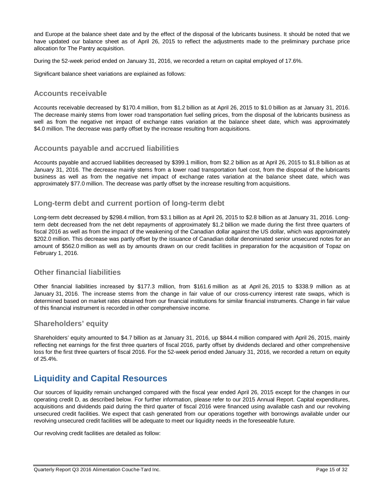and Europe at the balance sheet date and by the effect of the disposal of the lubricants business. It should be noted that we have updated our balance sheet as of April 26, 2015 to reflect the adjustments made to the preliminary purchase price allocation for The Pantry acquisition.

During the 52-week period ended on January 31, 2016, we recorded a return on capital employed of 17.6%.

Significant balance sheet variations are explained as follows:

## **Accounts receivable**

Accounts receivable decreased by \$170.4 million, from \$1.2 billion as at April 26, 2015 to \$1.0 billion as at January 31, 2016. The decrease mainly stems from lower road transportation fuel selling prices, from the disposal of the lubricants business as well as from the negative net impact of exchange rates variation at the balance sheet date, which was approximately \$4.0 million. The decrease was partly offset by the increase resulting from acquisitions.

## **Accounts payable and accrued liabilities**

Accounts payable and accrued liabilities decreased by \$399.1 million, from \$2.2 billion as at April 26, 2015 to \$1.8 billion as at January 31, 2016. The decrease mainly stems from a lower road transportation fuel cost, from the disposal of the lubricants business as well as from the negative net impact of exchange rates variation at the balance sheet date, which was approximately \$77.0 million. The decrease was partly offset by the increase resulting from acquisitions.

## **Long-term debt and current portion of long-term debt**

Long-term debt decreased by \$298.4 million, from \$3.1 billion as at April 26, 2015 to \$2.8 billion as at January 31, 2016. Longterm debt decreased from the net debt repayments of approximately \$1.2 billion we made during the first three quarters of fiscal 2016 as well as from the impact of the weakening of the Canadian dollar against the US dollar, which was approximately \$202.0 million. This decrease was partly offset by the issuance of Canadian dollar denominated senior unsecured notes for an amount of \$562.0 million as well as by amounts drawn on our credit facilities in preparation for the acquisition of Topaz on February 1, 2016.

# **Other financial liabilities**

Other financial liabilities increased by \$177.3 million, from \$161.6 million as at April 26, 2015 to \$338.9 million as at January 31, 2016. The increase stems from the change in fair value of our cross-currency interest rate swaps, which is determined based on market rates obtained from our financial institutions for similar financial instruments. Change in fair value of this financial instrument is recorded in other comprehensive income.

# **Shareholders' equity**

Shareholders' equity amounted to \$4.7 billion as at January 31, 2016, up \$844.4 million compared with April 26, 2015, mainly reflecting net earnings for the first three quarters of fiscal 2016, partly offset by dividends declared and other comprehensive loss for the first three quarters of fiscal 2016. For the 52-week period ended January 31, 2016, we recorded a return on equity of 25.4%.

# **Liquidity and Capital Resources**

Our sources of liquidity remain unchanged compared with the fiscal year ended April 26, 2015 except for the changes in our operating credit D, as described below. For further information, please refer to our 2015 Annual Report. Capital expenditures, acquisitions and dividends paid during the third quarter of fiscal 2016 were financed using available cash and our revolving unsecured credit facilities. We expect that cash generated from our operations together with borrowings available under our revolving unsecured credit facilities will be adequate to meet our liquidity needs in the foreseeable future.

Our revolving credit facilities are detailed as follow: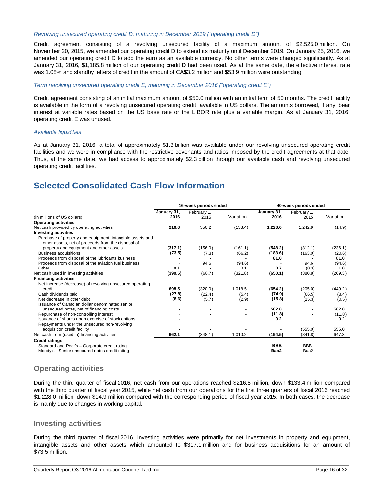## *Revolving unsecured operating credit D, maturing in December 2019 ("operating credit D")*

Credit agreement consisting of a revolving unsecured facility of a maximum amount of \$2,525.0 million. On November 20, 2015, we amended our operating credit D to extend its maturity until December 2019. On January 25, 2016, we amended our operating credit D to add the euro as an available currency. No other terms were changed significantly. As at January 31, 2016, \$1,185.8 million of our operating credit D had been used. As at the same date, the effective interest rate was 1.08% and standby letters of credit in the amount of CA\$3.2 million and \$53.9 million were outstanding.

### *Term revolving unsecured operating credit E, maturing in December 2016 ("operating credit E")*

Credit agreement consisting of an initial maximum amount of \$50.0 million with an initial term of 50 months. The credit facility is available in the form of a revolving unsecured operating credit, available in US dollars. The amounts borrowed, if any, bear interest at variable rates based on the US base rate or the LIBOR rate plus a variable margin. As at January 31, 2016, operating credit E was unused.

#### *Available liquidities*

As at January 31, 2016, a total of approximately \$1.3 billion was available under our revolving unsecured operating credit facilities and we were in compliance with the restrictive covenants and ratios imposed by the credit agreements at that date. Thus, at the same date, we had access to approximately \$2.3 billion through our available cash and revolving unsecured operating credit facilities.

# **Selected Consolidated Cash Flow Information**

|                                                                                                                 | 16-week periods ended |                     |           | 40-week periods ended |                     |           |
|-----------------------------------------------------------------------------------------------------------------|-----------------------|---------------------|-----------|-----------------------|---------------------|-----------|
| (in millions of US dollars)                                                                                     | January 31,<br>2016   | February 1,<br>2015 | Variation | January 31,<br>2016   | February 1,<br>2015 | Variation |
| <b>Operating activities</b>                                                                                     |                       |                     |           |                       |                     |           |
| Net cash provided by operating activities                                                                       | 216.8                 | 350.2               | (133.4)   | 1.228.0               | 1.242.9             | (14.9)    |
| <b>Investing activities</b>                                                                                     |                       |                     |           |                       |                     |           |
| Purchase of property and equipment, intangible assets and<br>other assets, net of proceeds from the disposal of |                       |                     |           |                       |                     |           |
| property and equipment and other assets                                                                         | (317.1)               | (156.0)             | (161.1)   | (548.2)               | (312.1)             | (236.1)   |
| <b>Business acquisitions</b>                                                                                    | (73.5)                | (7.3)               | (66.2)    | (183.6)               | (163.0)             | (20.6)    |
| Proceeds from disposal of the lubricants business                                                               |                       |                     |           | 81.0                  |                     | 81.0      |
| Proceeds from disposal of the aviation fuel business                                                            |                       | 94.6                | (94.6)    |                       | 94.6                | (94.6)    |
| Other                                                                                                           | 0.1                   |                     | 0.1       | 0.7                   | (0.3)               | 1.0       |
| Net cash used in investing activities                                                                           | (390.5)               | (68.7)              | (321.8)   | (650.1)               | (380.8)             | (269.3)   |
| <b>Financing activities</b>                                                                                     |                       |                     |           |                       |                     |           |
| Net increase (decrease) of revolving unsecured operating                                                        |                       |                     |           |                       |                     |           |
| credit                                                                                                          | 698.5                 | (320.0)             | 1,018.5   | (654.2)               | (205.0)             | (449.2)   |
| Cash dividends paid                                                                                             | (27.8)                | (22.4)              | (5.4)     | (74.9)                | (66.5)              | (8.4)     |
| Net decrease in other debt                                                                                      | (8.6)                 | (5.7)               | (2.9)     | (15.8)                | (15.3)              | (0.5)     |
| Issuance of Canadian dollar denominated senior                                                                  |                       |                     |           |                       |                     |           |
| unsecured notes, net of financing costs                                                                         |                       |                     |           | 562.0                 |                     | 562.0     |
| Repurchase of non-controlling interest                                                                          |                       |                     |           | (11.8)                |                     | (11.8)    |
| Issuance of shares upon exercise of stock options                                                               |                       |                     |           | 0.2                   |                     | 0.2       |
| Repayments under the unsecured non-revolving<br>acquisition credit facility                                     |                       |                     |           |                       | (555.0)             | 555.0     |
| Net cash from (used in) financing activities                                                                    | 662.1                 | (348.1)             | 1,010.2   | (194.5)               | (841.8)             | 647.3     |
| <b>Credit ratings</b>                                                                                           |                       |                     |           |                       |                     |           |
| Standard and Poor's - Corporate credit rating<br>Moody's - Senior unsecured notes credit rating                 |                       |                     |           | <b>BBB</b><br>Baa2    | BBB-<br>Baa2        |           |

# **Operating activities**

During the third quarter of fiscal 2016, net cash from our operations reached \$216.8 million, down \$133.4 million compared with the third quarter of fiscal year 2015, while net cash from our operations for the first three quarters of fiscal 2016 reached \$1,228.0 million, down \$14.9 million compared with the corresponding period of fiscal year 2015. In both cases, the decrease is mainly due to changes in working capital.

## **Investing activities**

During the third quarter of fiscal 2016, investing activities were primarily for net investments in property and equipment, intangible assets and other assets which amounted to \$317.1 million and for business acquisitions for an amount of \$73.5 million.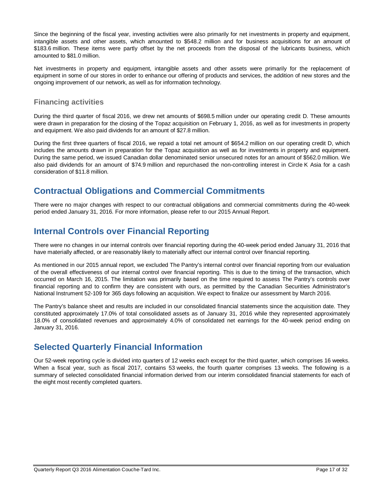Since the beginning of the fiscal year, investing activities were also primarily for net investments in property and equipment, intangible assets and other assets, which amounted to \$548.2 million and for business acquisitions for an amount of \$183.6 million. These items were partly offset by the net proceeds from the disposal of the lubricants business, which amounted to \$81.0 million.

Net investments in property and equipment, intangible assets and other assets were primarily for the replacement of equipment in some of our stores in order to enhance our offering of products and services, the addition of new stores and the ongoing improvement of our network, as well as for information technology.

# **Financing activities**

During the third quarter of fiscal 2016, we drew net amounts of \$698.5 million under our operating credit D. These amounts were drawn in preparation for the closing of the Topaz acquisition on February 1, 2016, as well as for investments in property and equipment. We also paid dividends for an amount of \$27.8 million.

During the first three quarters of fiscal 2016, we repaid a total net amount of \$654.2 million on our operating credit D, which includes the amounts drawn in preparation for the Topaz acquisition as well as for investments in property and equipment. During the same period, we issued Canadian dollar denominated senior unsecured notes for an amount of \$562.0 million. We also paid dividends for an amount of \$74.9 million and repurchased the non-controlling interest in Circle K Asia for a cash consideration of \$11.8 million.

# **Contractual Obligations and Commercial Commitments**

There were no major changes with respect to our contractual obligations and commercial commitments during the 40-week period ended January 31, 2016. For more information, please refer to our 2015 Annual Report.

# **Internal Controls over Financial Reporting**

There were no changes in our internal controls over financial reporting during the 40-week period ended January 31, 2016 that have materially affected, or are reasonably likely to materially affect our internal control over financial reporting.

As mentioned in our 2015 annual report, we excluded The Pantry's internal control over financial reporting from our evaluation of the overall effectiveness of our internal control over financial reporting. This is due to the timing of the transaction, which occurred on March 16, 2015. The limitation was primarily based on the time required to assess The Pantry's controls over financial reporting and to confirm they are consistent with ours, as permitted by the Canadian Securities Administrator's National Instrument 52-109 for 365 days following an acquisition. We expect to finalize our assessment by March 2016.

The Pantry's balance sheet and results are included in our consolidated financial statements since the acquisition date. They constituted approximately 17.0% of total consolidated assets as of January 31, 2016 while they represented approximately 18.0% of consolidated revenues and approximately 4.0% of consolidated net earnings for the 40-week period ending on January 31, 2016.

# **Selected Quarterly Financial Information**

Our 52-week reporting cycle is divided into quarters of 12 weeks each except for the third quarter, which comprises 16 weeks. When a fiscal year, such as fiscal 2017, contains 53 weeks, the fourth quarter comprises 13 weeks. The following is a summary of selected consolidated financial information derived from our interim consolidated financial statements for each of the eight most recently completed quarters.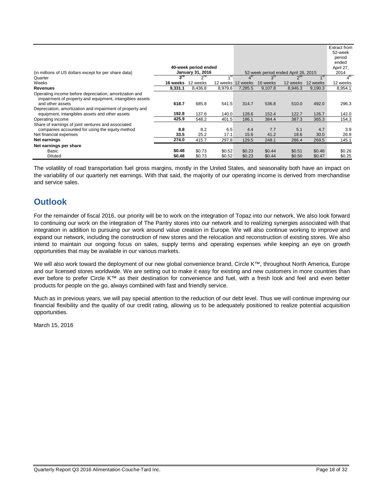| (in millions of US dollars except for per share data)                                                                                           |                      | 40-week period ended<br><b>January 31, 2016</b> |                      |                      |                      | 52-week period ended April 26, 2015 |                          | Extract from<br>52-week<br>period<br>ended<br>April 27,<br>2014 |
|-------------------------------------------------------------------------------------------------------------------------------------------------|----------------------|-------------------------------------------------|----------------------|----------------------|----------------------|-------------------------------------|--------------------------|-----------------------------------------------------------------|
| Quarter                                                                                                                                         | $3^{ra}$             | $2^{nd}$                                        | $1^{st}$             |                      | $3^{\text{rd}}$      |                                     | $\mathbf{A}^{\text{st}}$ | 4 <sup>th</sup>                                                 |
| Weeks                                                                                                                                           | 16 weeks             | 12 weeks                                        | 12 weeks             | 12 weeks             | 16 weeks             | 12 weeks                            | 12 weeks                 | 12 weeks                                                        |
| <b>Revenues</b>                                                                                                                                 | 9,331.1              | 8,436.8                                         | 8,979.6              | 7.285.5              | 9,107.8              | 8,946.3                             | 9,190.3                  | 8,954.1                                                         |
| Operating income before depreciation, amortization and<br>impairment of property and equipment, intangibles assets<br>and other assets          | 618.7                | 685.8                                           | 541.5                | 314.7                | 536.8                | 510.0                               | 492.0                    | 296.3                                                           |
| Depreciation, amortization and impairment of property and<br>equipment, intangibles assets and other assets                                     | 192.8                | 137.6                                           | 140.0                | 128.6                | 152.4                | 122.7                               | 126.7                    | 142.0                                                           |
| Operating income                                                                                                                                | 425.9                | 548.2                                           | 401.5                | 186.1                | 384.4                | 387.3                               | 365.3                    | 154.3                                                           |
| Share of earnings of joint ventures and associated<br>companies accounted for using the equity method<br>Net financial expenses<br>Net earnings | 8.8<br>33.5<br>274.0 | 8.2<br>25.2<br>415.7                            | 6.5<br>17.1<br>297.8 | 4.4<br>15.6<br>129.5 | 7.7<br>41.2<br>248.1 | 5.1<br>18.6<br>286.4                | 4.7<br>30.0<br>269.5     | 3.9<br>26.9<br>145.1                                            |
| Net earnings per share                                                                                                                          |                      |                                                 |                      |                      |                      |                                     |                          |                                                                 |
| Basic<br><b>Diluted</b>                                                                                                                         | \$0.48<br>\$0.48     | \$0.73<br>\$0.73                                | \$0.52<br>\$0.52     | \$0.23<br>\$0.23     | \$0.44<br>\$0.44     | \$0.51<br>\$0.50                    | \$0.48<br>\$0.47         | \$0.26<br>\$0.25                                                |

The volatility of road transportation fuel gross margins, mostly in the United States, and seasonality both have an impact on the variability of our quarterly net earnings. With that said, the majority of our operating income is derived from merchandise and service sales.

# **Outlook**

For the remainder of fiscal 2016, our priority will be to work on the integration of Topaz into our network. We also look forward to continuing our work on the integration of The Pantry stores into our network and to realizing synergies associated with that integration in addition to pursuing our work around value creation in Europe. We will also continue working to improve and expand our network, including the construction of new stores and the relocation and reconstruction of existing stores. We also intend to maintain our ongoing focus on sales, supply terms and operating expenses while keeping an eye on growth opportunities that may be available in our various markets.

We will also work toward the deployment of our new global convenience brand, Circle K™, throughout North America, Europe and our licensed stores worldwide. We are setting out to make it easy for existing and new customers in more countries than ever before to prefer Circle K™ as their destination for convenience and fuel, with a fresh look and feel and even better products for people on the go, always combined with fast and friendly service.

Much as in previous years, we will pay special attention to the reduction of our debt level. Thus we will continue improving our financial flexibility and the quality of our credit rating, allowing us to be adequately positioned to realize potential acquisition opportunities.

March 15, 2016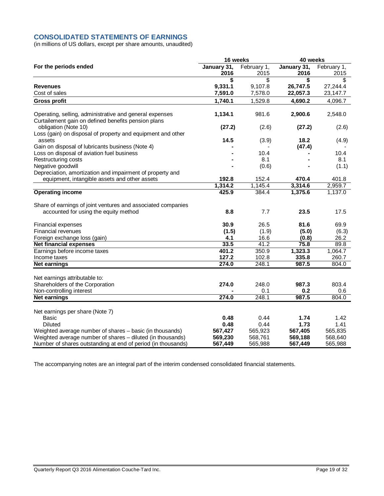## **CONSOLIDATED STATEMENTS OF EARNINGS**

(in millions of US dollars, except per share amounts, unaudited)

|                                                              | 16 weeks    |             | 40 weeks    |             |  |
|--------------------------------------------------------------|-------------|-------------|-------------|-------------|--|
| For the periods ended                                        | January 31, | February 1, | January 31, | February 1, |  |
|                                                              | 2016        | 2015        | 2016        | 2015        |  |
|                                                              | \$          | \$          | \$          | S           |  |
| <b>Revenues</b>                                              | 9,331.1     | 9,107.8     | 26,747.5    | 27,244.4    |  |
| Cost of sales                                                | 7,591.0     | 7,578.0     | 22,057.3    | 23,147.7    |  |
| <b>Gross profit</b>                                          | 1,740.1     | 1,529.8     | 4,690.2     | 4,096.7     |  |
| Operating, selling, administrative and general expenses      | 1,134.1     | 981.6       | 2,900.6     | 2,548.0     |  |
| Curtailement gain on defined benefits pension plans          |             |             |             |             |  |
| obligation (Note 10)                                         | (27.2)      | (2.6)       | (27.2)      | (2.6)       |  |
| Loss (gain) on disposal of property and equipment and other  |             |             |             |             |  |
| assets                                                       | 14.5        | (3.9)       | 18.2        | (4.9)       |  |
| Gain on disposal of lubricants business (Note 4)             |             |             | (47.4)      |             |  |
| Loss on disposal of aviation fuel business                   |             | 10.4<br>8.1 |             | 10.4<br>8.1 |  |
| Restructuring costs                                          |             |             |             |             |  |
| Negative goodwill                                            |             | (0.6)       |             | (1.1)       |  |
| Depreciation, amortization and impairment of property and    | 192.8       | 152.4       | 470.4       | 401.8       |  |
| equipment, intangible assets and other assets                | 1,314.2     | 1,145.4     | 3,314.6     | 2,959.7     |  |
| <b>Operating income</b>                                      | 425.9       | 384.4       | 1,375.6     | 1,137.0     |  |
|                                                              |             |             |             |             |  |
| Share of earnings of joint ventures and associated companies |             |             |             |             |  |
| accounted for using the equity method                        | 8.8         | 7.7         | 23.5        | 17.5        |  |
|                                                              |             |             |             |             |  |
| Financial expenses                                           | 30.9        | 26.5        | 81.6        | 69.9        |  |
| Financial revenues                                           | (1.5)       | (1.9)       | (5.0)       | (6.3)       |  |
| Foreign exchange loss (gain)                                 | 4.1         | 16.6        | (0.8)       | 26.2        |  |
| <b>Net financial expenses</b>                                | 33.5        | 41.2        | 75.8        | 89.8        |  |
| Earnings before income taxes                                 | 401.2       | 350.9       | 1,323.3     | 1,064.7     |  |
| Income taxes                                                 | 127.2       | 102.8       | 335.8       | 260.7       |  |
| <b>Net earnings</b>                                          | 274.0       | 248.1       | 987.5       | 804.0       |  |
|                                                              |             |             |             |             |  |
| Net earnings attributable to:                                |             |             |             |             |  |
| Shareholders of the Corporation                              | 274.0       | 248.0       | 987.3       | 803.4       |  |
| Non-controlling interest                                     |             | 0.1         | 0.2         | 0.6         |  |
| <b>Net earnings</b>                                          | 274.0       | 248.1       | 987.5       | 804.0       |  |
| Net earnings per share (Note 7)                              |             |             |             |             |  |
| Basic                                                        | 0.48        | 0.44        | 1.74        | 1.42        |  |
| <b>Diluted</b>                                               | 0.48        | 0.44        | 1.73        | 1.41        |  |
| Weighted average number of shares - basic (in thousands)     | 567,427     | 565,923     | 567,405     | 565,835     |  |
| Weighted average number of shares - diluted (in thousands)   | 569,230     | 568,761     | 569,188     | 568,640     |  |
| Number of shares outstanding at end of period (in thousands) | 567,449     | 565,988     | 567,449     | 565,988     |  |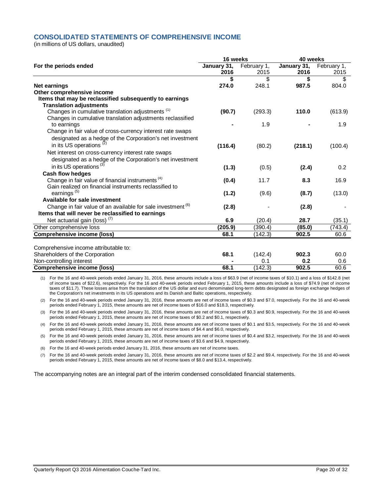## **CONSOLIDATED STATEMENTS OF COMPREHENSIVE INCOME**

(in millions of US dollars, unaudited)

|                                                                         | 16 weeks    |             | 40 weeks    |             |  |
|-------------------------------------------------------------------------|-------------|-------------|-------------|-------------|--|
| For the periods ended                                                   | January 31, | February 1, | January 31, | February 1, |  |
|                                                                         | 2016        | 2015        | 2016        | 2015        |  |
|                                                                         | \$          | \$          | \$          | \$          |  |
| <b>Net earnings</b>                                                     | 274.0       | 248.1       | 987.5       | 804.0       |  |
| Other comprehensive income                                              |             |             |             |             |  |
| Items that may be reclassified subsequently to earnings                 |             |             |             |             |  |
| <b>Translation adjustments</b>                                          |             |             |             |             |  |
| Changes in cumulative translation adjustments <sup>(1)</sup>            | (90.7)      | (293.3)     | 110.0       | (613.9)     |  |
| Changes in cumulative translation adjustments reclassified              |             |             |             |             |  |
| to earnings                                                             |             | 1.9         |             | 1.9         |  |
| Change in fair value of cross-currency interest rate swaps              |             |             |             |             |  |
| designated as a hedge of the Corporation's net investment               |             |             |             |             |  |
| in its US operations <sup>(2)</sup>                                     | (116.4)     | (80.2)      | (218.1)     | (100.4)     |  |
| Net interest on cross-currency interest rate swaps                      |             |             |             |             |  |
| designated as a hedge of the Corporation's net investment               |             |             |             |             |  |
| in its US operations <sup>(3)</sup>                                     | (1.3)       | (0.5)       | (2.4)       | 0.2         |  |
| <b>Cash flow hedges</b>                                                 |             |             |             |             |  |
| Change in fair value of financial instruments <sup>(4)</sup>            | (0.4)       | 11.7        | 8.3         | 16.9        |  |
| Gain realized on financial instruments reclassified to                  |             |             |             |             |  |
| earnings <sup>(5)</sup>                                                 | (1.2)       | (9.6)       | (8.7)       | (13.0)      |  |
| Available for sale investment                                           |             |             |             |             |  |
| Change in fair value of an available for sale investment <sup>(6)</sup> | (2.8)       |             | (2.8)       |             |  |
| Items that will never be reclassified to earnings                       |             |             |             |             |  |
| Net actuarial gain (loss) <sup>(7)</sup>                                | 6.9         | (20.4)      | 28.7        | (35.1)      |  |
| Other comprehensive loss                                                | (205.9)     | (390.4)     | (85.0)      | (743.4)     |  |
| <b>Comprehensive income (loss)</b>                                      | 68.1        | (142.3)     | 902.5       | 60.6        |  |
|                                                                         |             |             |             |             |  |
| Comprehensive income attributable to:                                   |             |             |             |             |  |
| Shareholders of the Corporation                                         | 68.1        | (142.4)     | 902.3       | 60.0        |  |
| Non-controlling interest                                                |             | 0.1         | 0.2         | 0.6         |  |
| <b>Comprehensive income (loss)</b>                                      | 68.1        | (142.3)     | 902.5       | 60.6        |  |

(1) For the 16 and 40-week periods ended January 31, 2016, these amounts include a loss of \$63.9 (net of income taxes of \$10.1) and a loss of \$142.8 (net of income taxes of \$22.6), respectively. For the 16 and 40-week periods ended February 1, 2015, these amounts include a loss of \$74.9 (net of income taxes of \$11.7). These losses arise from the translation of the US dollar and euro denominated long-term debts designated as foreign exchange hedges of the Corporation's net investments in its US operations and its Danish and Baltic operations, respectively.

(2) For the 16 and 40-week periods ended January 31, 2016, these amounts are net of income taxes of \$0.3 and \$7.0, respectively. For the 16 and 40-week periods ended February 1, 2015, these amounts are net of income taxes of \$16.0 and \$18.3, respectively.

(3) For the 16 and 40-week periods ended January 31, 2016, these amounts are net of income taxes of \$0.3 and \$0.9, respectively. For the 16 and 40-week periods ended February 1, 2015, these amounts are net of income taxes of \$0.2 and \$0.1, respectively.

(4) For the 16 and 40-week periods ended January 31, 2016, these amounts are net of income taxes of \$0.1 and \$3.5, respectively. For the 16 and 40-week periods ended February 1, 2015, these amounts are net of income taxes of \$4.4 and \$6.0, respectively.

(5) For the 16 and 40-week periods ended January 31, 2016, these amounts are net of income taxes of \$0.4 and \$3.2, respectively. For the 16 and 40-week periods ended February 1, 2015, these amounts are net of income taxes of \$3.6 and \$4.9, respectively.

(6) For the 16 and 40-week periods ended January 31, 2016, these amounts are net of income taxes.

(7) For the 16 and 40-week periods ended January 31, 2016, these amounts are net of income taxes of \$2.2 and \$9.4, respectively. For the 16 and 40-week periods ended February 1, 2015, these amounts are net of income taxes of \$8.0 and \$13.4, respectively.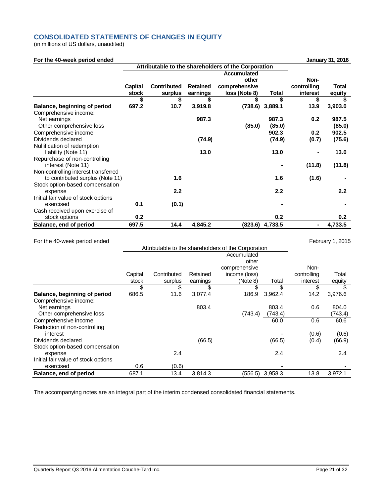## **CONSOLIDATED STATEMENTS OF CHANGES IN EQUITY**

(in millions of US dollars, unaudited)

| For the 40-week period ended         |                |                                                     |                 |                    |         |             | January 31, 2016 |
|--------------------------------------|----------------|-----------------------------------------------------|-----------------|--------------------|---------|-------------|------------------|
|                                      |                | Attributable to the shareholders of the Corporation |                 |                    |         |             |                  |
|                                      |                |                                                     |                 | <b>Accumulated</b> |         |             |                  |
|                                      |                |                                                     |                 | other              |         | Non-        |                  |
|                                      | <b>Capital</b> | <b>Contributed</b>                                  | <b>Retained</b> | comprehensive      |         | controlling | <b>Total</b>     |
|                                      | stock          | surplus                                             | earnings        | loss (Note 8)      | Total   | interest    | equity           |
|                                      | \$             | \$                                                  |                 | \$                 | \$      | \$          |                  |
| Balance, beginning of period         | 697.2          | 10.7                                                | 3,919.8         | (738.6)            | 3,889.1 | 13.9        | 3,903.0          |
| Comprehensive income:                |                |                                                     |                 |                    |         |             |                  |
| Net earnings                         |                |                                                     | 987.3           |                    | 987.3   | 0.2         | 987.5            |
| Other comprehensive loss             |                |                                                     |                 | (85.0)             | (85.0)  |             | (85.0)           |
| Comprehensive income                 |                |                                                     |                 |                    | 902.3   | 0.2         | 902.5            |
| Dividends declared                   |                |                                                     | (74.9)          |                    | (74.9)  | (0.7)       | (75.6)           |
| Nullification of redemption          |                |                                                     |                 |                    |         |             |                  |
| liability (Note 11)                  |                |                                                     | 13.0            |                    | 13.0    |             | 13.0             |
| Repurchase of non-controlling        |                |                                                     |                 |                    |         |             |                  |
| interest (Note 11)                   |                |                                                     |                 |                    | ۰       | (11.8)      | (11.8)           |
| Non-controlling interest transferred |                |                                                     |                 |                    |         |             |                  |
| to contributed surplus (Note 11)     |                | 1.6                                                 |                 |                    | 1.6     | (1.6)       |                  |
| Stock option-based compensation      |                |                                                     |                 |                    |         |             |                  |
| expense                              |                | 2.2                                                 |                 |                    | 2.2     |             | 2.2              |
| Initial fair value of stock options  |                |                                                     |                 |                    |         |             |                  |
| exercised                            | 0.1            | (0.1)                                               |                 |                    |         |             |                  |
| Cash received upon exercise of       |                |                                                     |                 |                    |         |             |                  |
| stock options                        | 0.2            |                                                     |                 |                    | 0.2     |             | 0.2              |
| Balance, end of period               | 697.5          | 14.4                                                | 4,845.2         | (823.6)            | 4,733.5 |             | 4,733.5          |

## For the 40-week period ended February 1, 2015

|                                     | Attributable to the shareholders of the Corporation |             |          |               |         |             |         |
|-------------------------------------|-----------------------------------------------------|-------------|----------|---------------|---------|-------------|---------|
|                                     |                                                     |             |          | Accumulated   |         |             |         |
|                                     |                                                     |             |          | other         |         |             |         |
|                                     |                                                     |             |          | comprehensive |         | Non-        |         |
|                                     | Capital                                             | Contributed | Retained | income (loss) |         | controlling | Total   |
|                                     | stock                                               | surplus     | earnings | (Note 8)      | Total   | interest    | equity  |
|                                     | \$                                                  | \$          | \$       | \$            | \$      | \$          | \$      |
| Balance, beginning of period        | 686.5                                               | 11.6        | 3,077.4  | 186.9         | 3,962.4 | 14.2        | 3,976.6 |
| Comprehensive income:               |                                                     |             |          |               |         |             |         |
| Net earnings                        |                                                     |             | 803.4    |               | 803.4   | 0.6         | 804.0   |
| Other comprehensive loss            |                                                     |             |          | (743.4)       | (743.4) |             | (743.4) |
| Comprehensive income                |                                                     |             |          |               | 60.0    | 0.6         | 60.6    |
| Reduction of non-controlling        |                                                     |             |          |               |         |             |         |
| interest                            |                                                     |             |          |               |         | (0.6)       | (0.6)   |
| Dividends declared                  |                                                     |             | (66.5)   |               | (66.5)  | (0.4)       | (66.9)  |
| Stock option-based compensation     |                                                     |             |          |               |         |             |         |
| expense                             |                                                     | 2.4         |          |               | 2.4     |             | 2.4     |
| Initial fair value of stock options |                                                     |             |          |               |         |             |         |
| exercised                           | 0.6                                                 | (0.6)       |          |               |         |             |         |
| Balance, end of period              | 687.1                                               | 13.4        | 3,814.3  | (556.5)       | 3,958.3 | 13.8        | 3,972.1 |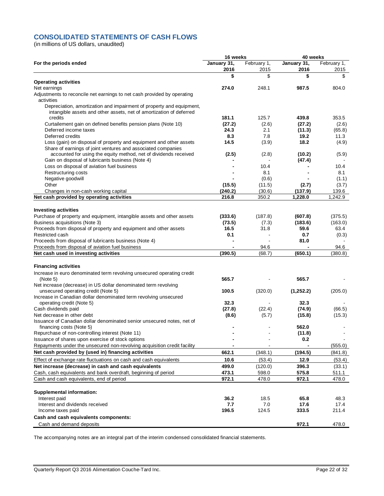## **CONSOLIDATED STATEMENTS OF CASH FLOWS**

(in millions of US dollars, unaudited)

|                                                                                                                                             | 16 weeks            |                     | 40 weeks            |                     |  |
|---------------------------------------------------------------------------------------------------------------------------------------------|---------------------|---------------------|---------------------|---------------------|--|
| For the periods ended                                                                                                                       | January 31,<br>2016 | February 1,<br>2015 | January 31,<br>2016 | February 1,<br>2015 |  |
|                                                                                                                                             | \$                  | \$                  | \$                  | \$                  |  |
| <b>Operating activities</b>                                                                                                                 |                     |                     |                     |                     |  |
| Net earnings                                                                                                                                | 274.0               | 248.1               | 987.5               | 804.0               |  |
| Adjustments to reconcile net earnings to net cash provided by operating<br>activities                                                       |                     |                     |                     |                     |  |
| Depreciation, amortization and impairment of property and equipment,<br>intangible assets and other assets, net of amortization of deferred |                     |                     |                     |                     |  |
| credits                                                                                                                                     | 181.1               | 125.7               | 439.8               | 353.5               |  |
| Curtailement gain on defined benefits pension plans (Note 10)                                                                               | (27.2)              | (2.6)               | (27.2)              | (2.6)               |  |
| Deferred income taxes                                                                                                                       | 24.3                | 2.1                 | (11.3)              | (65.8)              |  |
| Deferred credits                                                                                                                            | 8.3                 | 7.8                 | 19.2                | 11.3                |  |
| Loss (gain) on disposal of property and equipment and other assets<br>Share of earnings of joint ventures and associated companies          | 14.5                | (3.9)               | 18.2                | (4.9)               |  |
| accounted for using the equity method, net of dividends received                                                                            | (2.5)               | (2.8)               | (10.2)              | (5.9)               |  |
| Gain on disposal of lubricants business (Note 4)                                                                                            |                     |                     | (47.4)              |                     |  |
| Loss on disposal of aviation fuel business                                                                                                  |                     | 10.4                |                     | 10.4                |  |
| Restructuring costs                                                                                                                         |                     | 8.1                 |                     | 8.1                 |  |
| Negative goodwill                                                                                                                           |                     | (0.6)               |                     | (1.1)               |  |
| Other                                                                                                                                       | (15.5)              | (11.5)              | (2.7)               | (3.7)               |  |
| Changes in non-cash working capital                                                                                                         | (240.2)             | (30.6)              | (137.9)             | 139.6               |  |
| Net cash provided by operating activities                                                                                                   | 216.8               | 350.2               | 1,228.0             | 1,242.9             |  |
| <b>Investing activities</b>                                                                                                                 |                     |                     |                     |                     |  |
| Purchase of property and equipment, intangible assets and other assets                                                                      | (333.6)             | (187.8)             | (607.8)             | (375.5)             |  |
| Business acquisitions (Note 3)                                                                                                              | (73.5)              | (7.3)               | (183.6)             | (163.0)             |  |
| Proceeds from disposal of property and equipment and other assets                                                                           | 16.5                | 31.8                | 59.6                | 63.4                |  |
| Restricted cash                                                                                                                             | 0.1                 |                     | 0.7                 | (0.3)               |  |
| Proceeds from disposal of lubricants business (Note 4)                                                                                      |                     |                     | 81.0                |                     |  |
| Proceeds from disposal of aviation fuel business                                                                                            |                     | 94.6                |                     | 94.6                |  |
| Net cash used in investing activities                                                                                                       | (390.5)             | (68.7)              | (650.1)             | (380.8)             |  |
| <b>Financing activities</b>                                                                                                                 |                     |                     |                     |                     |  |
| Increase in euro denominated term revolving unsecured operating credit                                                                      |                     |                     |                     |                     |  |
| (Note 5)                                                                                                                                    | 565.7               |                     | 565.7               |                     |  |
| Net increase (decrease) in US dollar denominated term revolving                                                                             |                     |                     |                     |                     |  |
| unsecured operating credit (Note 5)                                                                                                         | 100.5               | (320.0)             | (1,252.2)           | (205.0)             |  |
| Increase in Canadian dollar denominated term revolving unsecured                                                                            |                     |                     |                     |                     |  |
| operating credit (Note 5)                                                                                                                   | 32.3                |                     | 32.3                |                     |  |
| Cash dividends paid                                                                                                                         | (27.8)              | (22.4)              | (74.9)              | (66.5)              |  |
| Net decrease in other debt                                                                                                                  | (8.6)               | (5.7)               | (15.8)              | (15.3)              |  |
| Issuance of Canadian dollar denominated senior unsecured notes, net of                                                                      |                     |                     |                     |                     |  |
| financing costs (Note 5)                                                                                                                    |                     |                     | 562.0               |                     |  |
| Repurchase of non-controlling interest (Note 11)                                                                                            |                     |                     | (11.8)              |                     |  |
| Issuance of shares upon exercise of stock options                                                                                           | -                   | $\overline{a}$      | 0.2                 |                     |  |
| Repayments under the unsecured non-revolving acquisition credit facility                                                                    |                     |                     |                     | (555.0)             |  |
| Net cash provided by (used in) financing activities                                                                                         | 662.1               | (348.1)             | (194.5)             | (841.8)             |  |
| Effect of exchange rate fluctuations on cash and cash equivalents                                                                           | 10.6                | (53.4)              | 12.9                | (53.4)              |  |
| Net increase (decrease) in cash and cash equivalents                                                                                        | 499.0               | (120.0)             | 396.3               | (33.1)              |  |
| Cash, cash equivalents and bank overdraft, beginning of period                                                                              | 473.1               | 598.0               | 575.8               | 511.1               |  |
| Cash and cash equivalents, end of period                                                                                                    | 972.1               | 478.0               | 972.1               | 478.0               |  |
| <b>Supplemental information:</b>                                                                                                            |                     |                     |                     |                     |  |
| Interest paid                                                                                                                               | 36.2                | 18.5                | 65.8                | 48.3                |  |
| Interest and dividends received                                                                                                             | 7.7                 | 7.0                 | 17.6                | 17.4                |  |
| Income taxes paid                                                                                                                           | 196.5               | 124.5               | 333.5               | 211.4               |  |
| Cash and cash equivalents components:                                                                                                       |                     |                     |                     |                     |  |
| Cash and demand deposits                                                                                                                    |                     |                     | 972.1               | 478.0               |  |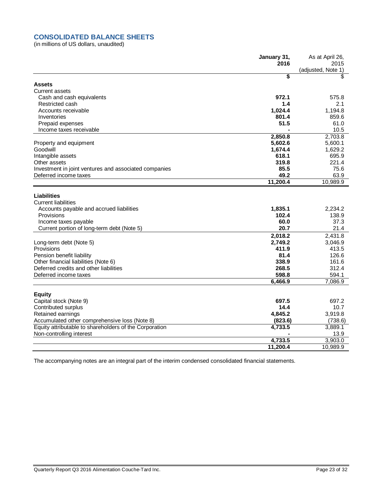## **CONSOLIDATED BALANCE SHEETS**

(in millions of US dollars, unaudited)

|                                                        | January 31,      | As at April 26,            |
|--------------------------------------------------------|------------------|----------------------------|
|                                                        | 2016             | 2015<br>(adjusted, Note 1) |
|                                                        | \$               | \$                         |
| <b>Assets</b>                                          |                  |                            |
| <b>Current assets</b>                                  |                  |                            |
| Cash and cash equivalents                              | 972.1            | 575.8                      |
| Restricted cash                                        | 1.4              | 2.1                        |
| Accounts receivable                                    | 1,024.4          | 1,194.8                    |
| Inventories                                            | 801.4            | 859.6                      |
| Prepaid expenses                                       | 51.5             | 61.0                       |
| Income taxes receivable                                |                  | 10.5                       |
|                                                        | 2,850.8          | 2,703.8                    |
| Property and equipment                                 | 5,602.6          | 5,600.1                    |
| Goodwill                                               | 1,674.4          | 1,629.2                    |
| Intangible assets                                      | 618.1            | 695.9                      |
| Other assets                                           | 319.8            | 221.4                      |
| Investment in joint ventures and associated companies  | 85.5             | 75.6                       |
| Deferred income taxes                                  | 49.2             | 63.9                       |
|                                                        | 11,200.4         | 10,989.9                   |
|                                                        |                  |                            |
| <b>Liabilities</b><br><b>Current liabilities</b>       |                  |                            |
|                                                        | 1,835.1          | 2,234.2                    |
| Accounts payable and accrued liabilities<br>Provisions | 102.4            | 138.9                      |
| Income taxes payable                                   | 60.0             | 37.3                       |
| Current portion of long-term debt (Note 5)             | 20.7             | 21.4                       |
|                                                        |                  |                            |
|                                                        | 2,018.2          | 2,431.8                    |
| Long-term debt (Note 5)<br>Provisions                  | 2,749.2<br>411.9 | 3,046.9<br>413.5           |
| Pension benefit liability                              | 81.4             | 126.6                      |
| Other financial liabilities (Note 6)                   | 338.9            | 161.6                      |
| Deferred credits and other liabilities                 | 268.5            | 312.4                      |
| Deferred income taxes                                  | 598.8            | 594.1                      |
|                                                        | 6,466.9          | 7,086.9                    |
|                                                        |                  |                            |
| <b>Equity</b>                                          |                  |                            |
| Capital stock (Note 9)                                 | 697.5            | 697.2                      |
| Contributed surplus                                    | 14.4             | 10.7                       |
| Retained earnings                                      | 4,845.2          | 3,919.8                    |
| Accumulated other comprehensive loss (Note 8)          | (823.6)          | (738.6)                    |
| Equity attributable to shareholders of the Corporation | 4,733.5          | 3,889.1                    |
| Non-controlling interest                               |                  | 13.9                       |
|                                                        | 4,733.5          | 3,903.0                    |
|                                                        | 11,200.4         | 10,989.9                   |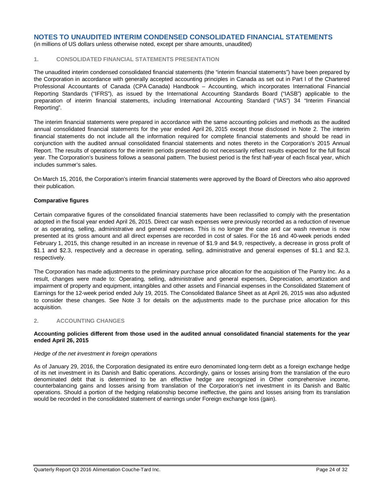(in millions of US dollars unless otherwise noted, except per share amounts, unaudited)

## **1. CONSOLIDATED FINANCIAL STATEMENTS PRESENTATION**

The unaudited interim condensed consolidated financial statements (the "interim financial statements") have been prepared by the Corporation in accordance with generally accepted accounting principles in Canada as set out in Part I of the Chartered Professional Accountants of Canada (CPA Canada) Handbook – Accounting, which incorporates International Financial Reporting Standards ("IFRS"), as issued by the International Accounting Standards Board ("IASB") applicable to the preparation of interim financial statements, including International Accounting Standard ("IAS") 34 "Interim Financial Reporting".

The interim financial statements were prepared in accordance with the same accounting policies and methods as the audited annual consolidated financial statements for the year ended April 26, 2015 except those disclosed in Note 2. The interim financial statements do not include all the information required for complete financial statements and should be read in conjunction with the audited annual consolidated financial statements and notes thereto in the Corporation's 2015 Annual Report. The results of operations for the interim periods presented do not necessarily reflect results expected for the full fiscal year. The Corporation's business follows a seasonal pattern. The busiest period is the first half-year of each fiscal year, which includes summer's sales.

On March 15, 2016, the Corporation's interim financial statements were approved by the Board of Directors who also approved their publication.

## **Comparative figures**

Certain comparative figures of the consolidated financial statements have been reclassified to comply with the presentation adopted in the fiscal year ended April 26, 2015. Direct car wash expenses were previously recorded as a reduction of revenue or as operating, selling, administrative and general expenses. This is no longer the case and car wash revenue is now presented at its gross amount and all direct expenses are recorded in cost of sales. For the 16 and 40-week periods ended February 1, 2015, this change resulted in an increase in revenue of \$1.9 and \$4.9, respectively, a decrease in gross profit of \$1.1 and \$2.3, respectively and a decrease in operating, selling, administrative and general expenses of \$1.1 and \$2.3, respectively.

The Corporation has made adjustments to the preliminary purchase price allocation for the acquisition of The Pantry Inc. As a result, changes were made to: Operating, selling, administrative and general expenses, Depreciation, amortization and impairment of property and equipment, intangibles and other assets and Financial expenses in the Consolidated Statement of Earnings for the 12-week period ended July 19, 2015. The Consolidated Balance Sheet as at April 26, 2015 was also adjusted to consider these changes. See Note 3 for details on the adjustments made to the purchase price allocation for this acquisition.

#### **2. ACCOUNTING CHANGES**

#### **Accounting policies different from those used in the audited annual consolidated financial statements for the year ended April 26, 2015**

#### *Hedge of the net investment in foreign operations*

As of January 29, 2016, the Corporation designated its entire euro denominated long-term debt as a foreign exchange hedge of its net investment in its Danish and Baltic operations. Accordingly, gains or losses arising from the translation of the euro denominated debt that is determined to be an effective hedge are recognized in Other comprehensive income, counterbalancing gains and losses arising from translation of the Corporation's net investment in its Danish and Baltic operations. Should a portion of the hedging relationship become ineffective, the gains and losses arising from its translation would be recorded in the consolidated statement of earnings under Foreign exchange loss (gain).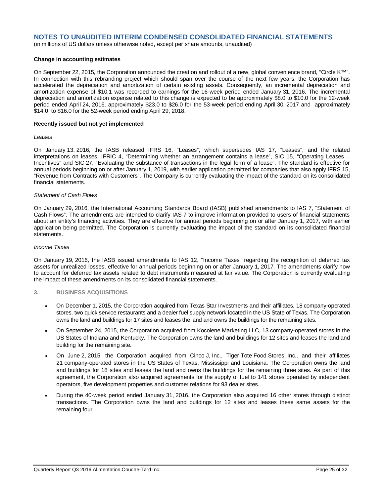(in millions of US dollars unless otherwise noted, except per share amounts, unaudited)

### **Change in accounting estimates**

On September 22, 2015, the Corporation announced the creation and rollout of a new, global convenience brand, "Circle K™". In connection with this rebranding project which should span over the course of the next few years, the Corporation has accelerated the depreciation and amortization of certain existing assets. Consequently, an incremental depreciation and amortization expense of \$10.1 was recorded to earnings for the 16-week period ended January 31, 2016. The incremental depreciation and amortization expense related to this change is expected to be approximately \$8.0 to \$10.0 for the 12-week period ended April 24, 2016, approximately \$23.0 to \$26.0 for the 53-week period ending April 30, 2017 and approximately \$14.0 to \$16.0 for the 52-week period ending April 29, 2018.

### **Recently issued but not yet implemented**

#### *Leases*

On January 13, 2016, the IASB released IFRS 16, "Leases", which supersedes IAS 17, "Leases", and the related interpretations on leases: IFRIC 4, "Determining whether an arrangement contains a lease", SIC 15, "Operating Leases – Incentives" and SIC 27, "Evaluating the substance of transactions in the legal form of a lease". The standard is effective for annual periods beginning on or after January 1, 2019, with earlier application permitted for companies that also apply IFRS 15, "Revenue from Contracts with Customers". The Company is currently evaluating the impact of the standard on its consolidated financial statements.

### *Statement of Cash Flows*

On January 29, 2016, the International Accounting Standards Board (IASB) published amendments to IAS 7, "Statement of Cash Flows". The amendments are intended to clarify IAS 7 to improve information provided to users of financial statements about an entity's financing activities. They are effective for annual periods beginning on or after January 1, 2017, with earlier application being permitted. The Corporation is currently evaluating the impact of the standard on its consolidated financial statements.

### *Income Taxes*

On January 19, 2016, the IASB issued amendments to IAS 12, "Income Taxes" regarding the recognition of deferred tax assets for unrealized losses, effective for annual periods beginning on or after January 1, 2017. The amendments clarify how to account for deferred tax assets related to debt instruments measured at fair value. The Corporation is currently evaluating the impact of these amendments on its consolidated financial statements.

#### **3. BUSINESS ACQUISITIONS**

- On December 1, 2015, the Corporation acquired from Texas Star Investments and their affiliates, 18 company-operated stores, two quick service restaurants and a dealer fuel supply network located in the US State of Texas. The Corporation owns the land and buildings for 17 sites and leases the land and owns the buildings for the remaining sites.
- On September 24, 2015, the Corporation acquired from Kocolene Marketing LLC, 13 company-operated stores in the US States of Indiana and Kentucky. The Corporation owns the land and buildings for 12 sites and leases the land and building for the remaining site.
- On June 2, 2015, the Corporation acquired from Cinco J, Inc., Tiger Tote Food Stores, Inc., and their affiliates 21 company-operated stores in the US States of Texas, Mississippi and Louisiana. The Corporation owns the land and buildings for 18 sites and leases the land and owns the buildings for the remaining three sites. As part of this agreement, the Corporation also acquired agreements for the supply of fuel to 141 stores operated by independent operators, five development properties and customer relations for 93 dealer sites.
- During the 40-week period ended January 31, 2016, the Corporation also acquired 16 other stores through distinct transactions. The Corporation owns the land and buildings for 12 sites and leases these same assets for the remaining four.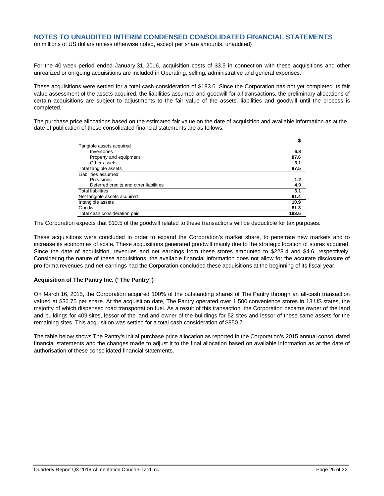(in millions of US dollars unless otherwise noted, except per share amounts, unaudited)

For the 40-week period ended January 31, 2016, acquisition costs of \$3.5 in connection with these acquisitions and other unrealized or on-going acquisitions are included in Operating, selling, administrative and general expenses.

These acquisitions were settled for a total cash consideration of \$183.6. Since the Corporation has not yet completed its fair value assessment of the assets acquired, the liabilities assumed and goodwill for all transactions, the preliminary allocations of certain acquisitions are subject to adjustments to the fair value of the assets, liabilities and goodwill until the process is completed.

The purchase price allocations based on the estimated fair value on the date of acquisition and available information as at the date of publication of these consolidated financial statements are as follows:

|                                        | \$    |
|----------------------------------------|-------|
| Tangible assets acquired               |       |
| Inventories                            | 6.8   |
| Property and equipment                 | 87.6  |
| Other assets                           | 3.1   |
| Total tangible assets                  | 97.5  |
| Liabilities assumed                    |       |
| Provisions                             | 1.2   |
| Deferred credits and other liabilities | 4.9   |
| <b>Total liabilities</b>               | 6.1   |
| Net tangible assets acquired           | 91.4  |
| Intangible assets                      | 10.9  |
| Goodwill                               | 81.3  |
| Total cash consideration paid          | 183.6 |

The Corporation expects that \$10.5 of the goodwill related to these transactions will be deductible for tax purposes.

These acquisitions were concluded in order to expand the Corporation's market share, to penetrate new markets and to increase its economies of scale. These acquisitions generated goodwill mainly due to the strategic location of stores acquired. Since the date of acquisition, revenues and net earnings from these stores amounted to \$228.4 and \$4.6, respectively. Considering the nature of these acquisitions, the available financial information does not allow for the accurate disclosure of pro-forma revenues and net earnings had the Corporation concluded these acquisitions at the beginning of its fiscal year.

## **Acquisition of The Pantry Inc. ("The Pantry")**

On March 16, 2015, the Corporation acquired 100% of the outstanding shares of The Pantry through an all-cash transaction valued at \$36.75 per share. At the acquisition date, The Pantry operated over 1,500 convenience stores in 13 US states, the majority of which dispensed road transportation fuel. As a result of this transaction, the Corporation became owner of the land and buildings for 409 sites, lessor of the land and owner of the buildings for 52 sites and lessor of these same assets for the remaining sites. This acquisition was settled for a total cash consideration of \$850.7.

The table below shows The Pantry's initial purchase price allocation as reported in the Corporation's 2015 annual consolidated financial statements and the changes made to adjust it to the final allocation based on available information as at the date of authorisation of these consolidated financial statements.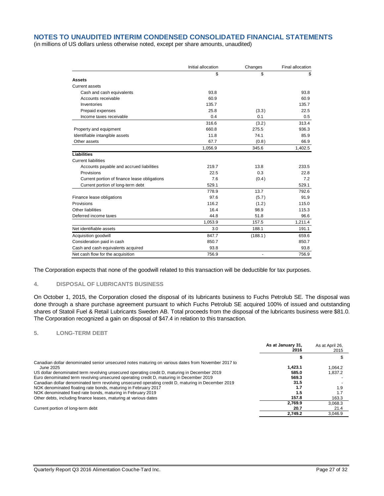(in millions of US dollars unless otherwise noted, except per share amounts, unaudited)

|                                              | Initial allocation | Changes       | Final allocation |
|----------------------------------------------|--------------------|---------------|------------------|
|                                              | \$                 | \$            | \$               |
| <b>Assets</b>                                |                    |               |                  |
| Current assets                               |                    |               |                  |
| Cash and cash equivalents                    | 93.8               |               | 93.8             |
| Accounts receivable                          | 60.9               |               | 60.9             |
| Inventories                                  | 135.7              |               | 135.7            |
| Prepaid expenses                             | 25.8               | (3.3)         | 22.5             |
| Income taxes receivable                      | 0.4                | 0.1           | 0.5              |
|                                              | 316.6              | (3.2)         | 313.4            |
| Property and equipment                       | 660.8              | 275.5         | 936.3            |
| Identifiable intangible assets               | 11.8               | 74.1          | 85.9             |
| Other assets                                 | 67.7               | (0.8)         | 66.9             |
|                                              | 1,056.9            | 345.6         | 1,402.5          |
| Liabilities                                  |                    |               |                  |
| <b>Current liabilities</b>                   |                    |               |                  |
| Accounts payable and accrued liabilities     | 219.7              | 13.8          | 233.5            |
| Provisions                                   | 22.5               | 0.3           | 22.8             |
| Current portion of finance lease obligations | 7.6                | (0.4)         | 7.2              |
| Current portion of long-term debt            | 529.1              |               | 529.1            |
|                                              | 778.9              | 13.7          | 792.6            |
| Finance lease obligations                    | 97.6               | (5.7)         | 91.9             |
| Provisions                                   | 116.2              | (1.2)         | 115.0            |
| Other liabilities                            | 16.4               | 98.9          | 115.3            |
| Deferred income taxes                        | 44.8               | 51.8          | 96.6             |
|                                              | 1,053.9            | 157.5         | 1,211.4          |
| Net identifiable assets                      | 3.0                | 188.1         | 191.1            |
| Acquisition goodwill                         | 847.7              | (188.1)       | 659.6            |
| Consideration paid in cash                   | 850.7              |               | 850.7            |
| Cash and cash equivalents acquired           | 93.8               |               | 93.8             |
| Net cash flow for the acquisition            | 756.9              | $\frac{1}{2}$ | 756.9            |

The Corporation expects that none of the goodwill related to this transaction will be deductible for tax purposes.

### **4. DISPOSAL OF LUBRICANTS BUSINESS**

On October 1, 2015, the Corporation closed the disposal of its lubricants business to Fuchs Petrolub SE. The disposal was done through a share purchase agreement pursuant to which Fuchs Petrolub SE acquired 100% of issued and outstanding shares of Statoil Fuel & Retail Lubricants Sweden AB. Total proceeds from the disposal of the lubricants business were \$81.0. The Corporation recognized a gain on disposal of \$47.4 in relation to this transaction.

### **5. LONG-TERM DEBT**

|                                                                                                    | As at January 31,<br>2016 | As at April 26,<br>2015 |
|----------------------------------------------------------------------------------------------------|---------------------------|-------------------------|
|                                                                                                    |                           |                         |
| Canadian dollar denominated senior unsecured notes maturing on various dates from November 2017 to |                           |                         |
| June 2025                                                                                          | 1.423.1                   | 1.064.2                 |
| US dollar denominated term revolving unsecured operating credit D, maturing in December 2019       | 585.0                     | 1.837.2                 |
| Euro denominated term revolving unsecured operating credit D, maturing in December 2019            | 569.3                     |                         |
| Canadian dollar denominated term revolving unsecured operating credit D, maturing in December 2019 | 31.5                      |                         |
| NOK denominated floating rate bonds, maturing in February 2017                                     | 1.7                       | 1.9                     |
| NOK denominated fixed rate bonds, maturing in February 2019                                        | 1.5                       | 1.7                     |
| Other debts, including finance leases, maturing at various dates                                   | 157.8                     | 163.3                   |
|                                                                                                    | 2.769.9                   | 3.068.3                 |
| Current portion of long-term debt                                                                  | 20.7                      | 21.4                    |
|                                                                                                    | 2,749.2                   | 3,046.9                 |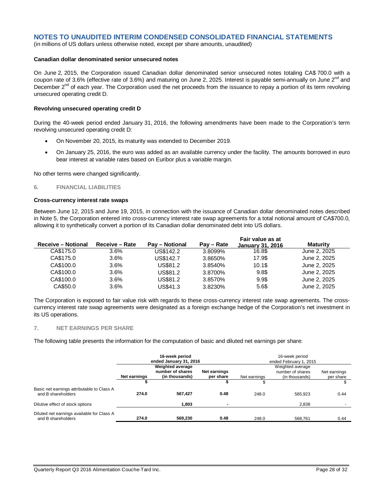(in millions of US dollars unless otherwise noted, except per share amounts, unaudited)

## **Canadian dollar denominated senior unsecured notes**

On June 2, 2015, the Corporation issued Canadian dollar denominated senior unsecured notes totaling CA\$ 700.0 with a coupon rate of 3.6% (effective rate of 3.6%) and maturing on June 2, 2025. Interest is payable semi-annually on June 2<sup>nd</sup> and December 2<sup>nd</sup> of each year. The Corporation used the net proceeds from the issuance to repay a portion of its term revolving unsecured operating credit D.

#### **Revolving unsecured operating credit D**

During the 40-week period ended January 31, 2016, the following amendments have been made to the Corporation's term revolving unsecured operating credit D:

- On November 20, 2015, its maturity was extended to December 2019.
- On January 25, 2016, the euro was added as an available currency under the facility. The amounts borrowed in euro bear interest at variable rates based on Euribor plus a variable margin.

No other terms were changed significantly.

## **6. FINANCIAL LIABILITIES**

#### **Cross-currency interest rate swaps**

Between June 12, 2015 and June 19, 2015, in connection with the issuance of Canadian dollar denominated notes described in Note 5, the Corporation entered into cross-currency interest rate swap agreements for a total notional amount of CA\$700.0, allowing it to synthetically convert a portion of its Canadian dollar denominated debt into US dollars.

|                           |                |                |            | Fair value as at        |                 |  |
|---------------------------|----------------|----------------|------------|-------------------------|-----------------|--|
| <b>Receive - Notional</b> | Receive - Rate | Pay - Notional | Pay – Rate | <b>January 31, 2016</b> | <b>Maturity</b> |  |
| CA\$175.0                 | $3.6\%$        | US\$142.2      | 3.8099%    | 16.8\$                  | June 2, 2025    |  |
| CA\$175.0                 | $3.6\%$        | US\$142.7      | 3.8650%    | 17.9\$                  | June 2, 2025    |  |
| CA\$100.0                 | $3.6\%$        | US\$81.2       | 3.8540%    | 10.1\$                  | June 2, 2025    |  |
| CA\$100.0                 | $3.6\%$        | US\$81.2       | 3.8700%    | 9.8\$                   | June 2, 2025    |  |
| CA\$100.0                 | $3.6\%$        | US\$81.2       | 3.8570%    | 9.9\$                   | June 2, 2025    |  |
| CA\$50.0                  | $3.6\%$        | US\$41.3       | 3.8230%    | 5.6\$                   | June 2, 2025    |  |
|                           |                |                |            |                         |                 |  |

The Corporation is exposed to fair value risk with regards to these cross-currency interest rate swap agreements. The crosscurrency interest rate swap agreements were designated as a foreign exchange hedge of the Corporation's net investment in its US operations.

## **7. NET EARNINGS PER SHARE**

The following table presents the information for the computation of basic and diluted net earnings per share:

|                                                                  | 16-week period<br>ended January 31, 2016                    |                |           | 16-week period<br>ended February 1, 2015 |                                    |           |  |
|------------------------------------------------------------------|-------------------------------------------------------------|----------------|-----------|------------------------------------------|------------------------------------|-----------|--|
|                                                                  | <b>Weighted average</b><br>number of shares<br>Net earnings |                |           |                                          | Net earnings                       |           |  |
|                                                                  | Net earnings                                                | (in thousands) | per share | Net earnings                             | number of shares<br>(in thousands) | per share |  |
|                                                                  |                                                             |                |           |                                          |                                    |           |  |
| Basic net earnings attributable to Class A<br>and B shareholders | 274.0                                                       | 567.427        | 0.48      | 248.0                                    | 565.923                            | 0.44      |  |
| Dilutive effect of stock options                                 |                                                             | 1.803          | -         |                                          | 2.838                              |           |  |
| Diluted net earnings available for Class A<br>and B shareholders | 274.0                                                       | 569.230        | 0.48      | 248.0                                    | 568.761                            | 0.44      |  |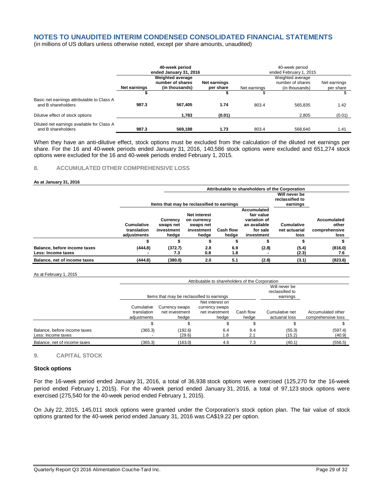(in millions of US dollars unless otherwise noted, except per share amounts, unaudited)

|                                                                  |                                                                                                     | 40-week period<br>ended January 31, 2016 |        | 40-week period<br>ended February 1, 2015 |                                                        |                           |  |
|------------------------------------------------------------------|-----------------------------------------------------------------------------------------------------|------------------------------------------|--------|------------------------------------------|--------------------------------------------------------|---------------------------|--|
|                                                                  | Weighted average<br>number of shares<br>Net earnings<br>Net earnings<br>(in thousands)<br>per share |                                          |        | Net earnings                             | Weighted average<br>number of shares<br>(in thousands) | Net earnings<br>per share |  |
|                                                                  |                                                                                                     |                                          |        |                                          |                                                        |                           |  |
| Basic net earnings attributable to Class A<br>and B shareholders | 987.3                                                                                               | 567.405                                  | 1.74   | 803.4                                    | 565.835                                                | 1.42                      |  |
| Dilutive effect of stock options                                 |                                                                                                     | 1,783                                    | (0.01) |                                          | 2.805                                                  | (0.01)                    |  |
| Diluted net earnings available for Class A<br>and B shareholders | 987.3                                                                                               | 569.188                                  | 1.73   | 803.4                                    | 568.640                                                | 1.41                      |  |

When they have an anti-dilutive effect, stock options must be excluded from the calculation of the diluted net earnings per share. For the 16 and 40-week periods ended January 31, 2016, 140,586 stock options were excluded and 651,274 stock options were excluded for the 16 and 40-week periods ended February 1, 2015.

## **8. ACCUMULATED OTHER COMPREHENSIVE LOSS**

#### **As at January 31, 2016**

|                                                    |                                          |                                                                                                      | Attributable to shareholders of the Corporation |                                                                                           |            |                                    |                                       |
|----------------------------------------------------|------------------------------------------|------------------------------------------------------------------------------------------------------|-------------------------------------------------|-------------------------------------------------------------------------------------------|------------|------------------------------------|---------------------------------------|
|                                                    |                                          | Items that may be reclassified to earnings                                                           | Will never be<br>reclassified to<br>earnings    |                                                                                           |            |                                    |                                       |
|                                                    | Cumulative<br>translation<br>adiustments | <b>Net interest</b><br>Currency<br>on currency<br>swaps net<br>swaps net<br>investment<br>investment |                                                 | Accumulated<br>fair value<br>variation of<br>an available<br><b>Cash flow</b><br>for sale |            | <b>Cumulative</b><br>net actuarial | Accumulated<br>other<br>comprehensive |
|                                                    |                                          | hedge<br>э                                                                                           | hedge                                           | hedge                                                                                     | investment | loss                               | loss                                  |
| Balance, before income taxes<br>Less: Income taxes | (444.8)                                  | (372.7)<br>7.3                                                                                       | 2.8<br>0.8                                      | 6.9<br>1.8                                                                                | (2.8)      | (5.4)<br>(2.3)                     | (816.0)<br>7.6                        |
| Balance, net of income taxes                       | (444.8)                                  | (380.0)                                                                                              | 2.0                                             | 5.1                                                                                       | (2.8)      | (3.1)                              | (823.6)                               |

#### As at February 1, 2015

|                                                    |                                          | Attributable to shareholders of the Corporation |                                                              |                    |                                  |                                         |  |  |  |
|----------------------------------------------------|------------------------------------------|-------------------------------------------------|--------------------------------------------------------------|--------------------|----------------------------------|-----------------------------------------|--|--|--|
|                                                    |                                          | Items that may be reclassified to earnings      | Will never be<br>reclassified to<br>earnings                 |                    |                                  |                                         |  |  |  |
|                                                    | Cumulative<br>translation<br>adiustments | Currency swaps<br>net investment<br>hedae       | Net interest on<br>currency swaps<br>net investment<br>hedae | Cash flow<br>hedge | Cumulative net<br>actuarial loss | Accumulated other<br>comprehensive loss |  |  |  |
|                                                    |                                          |                                                 |                                                              |                    |                                  |                                         |  |  |  |
| Balance, before income taxes<br>Less: Income taxes | (365.3)                                  | (192.6)<br>(29.6)                               | 6.4<br>1.8                                                   | 9.4<br>2.1         | (55.3)<br>(15.2)                 | (597.4)<br>(40.9)                       |  |  |  |
| Balance, net of income taxes                       | (365.3)                                  | (163.0)                                         | 4.6                                                          | 7.3                | (40.1)                           | (556.5)                                 |  |  |  |

### **9. CAPITAL STOCK**

#### **Stock options**

For the 16-week period ended January 31, 2016, a total of 36,938 stock options were exercised (125,270 for the 16-week period ended February 1, 2015). For the 40-week period ended January 31, 2016, a total of 97,123 stock options were exercised (275,540 for the 40-week period ended February 1, 2015).

On July 22, 2015, 145,011 stock options were granted under the Corporation's stock option plan. The fair value of stock options granted for the 40-week period ended January 31, 2016 was CA\$19.22 per option.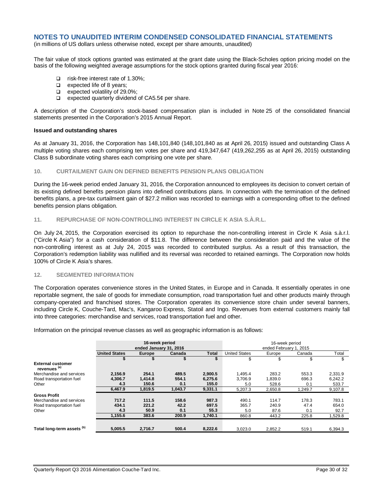(in millions of US dollars unless otherwise noted, except per share amounts, unaudited)

The fair value of stock options granted was estimated at the grant date using the Black-Scholes option pricing model on the basis of the following weighted average assumptions for the stock options granted during fiscal year 2016:

- risk-free interest rate of 1.30%;
- $\Box$  expected life of 8 years;
- $\Box$  expected volatility of 29.0%;
- $\Box$  expected quarterly dividend of CA5.5¢ per share.

A description of the Corporation's stock-based compensation plan is included in Note 25 of the consolidated financial statements presented in the Corporation's 2015 Annual Report.

#### **Issued and outstanding shares**

As at January 31, 2016, the Corporation has 148,101,840 (148,101,840 as at April 26, 2015) issued and outstanding Class A multiple voting shares each comprising ten votes per share and 419,347,647 (419,262,255 as at April 26, 2015) outstanding Class B subordinate voting shares each comprising one vote per share.

#### **10. CURTAILMENT GAIN ON DEFINED BENEFITS PENSION PLANS OBLIGATION**

During the 16-week period ended January 31, 2016, the Corporation announced to employees its decision to convert certain of its existing defined benefits pension plans into defined contributions plans. In connection with the termination of the defined benefits plans, a pre-tax curtailment gain of \$27.2 million was recorded to earnings with a corresponding offset to the defined benefits pension plans obligation.

#### **11. REPURCHASE OF NON-CONTROLLING INTEREST IN CIRCLE K ASIA S.À.R.L.**

On July 24, 2015, the Corporation exercised its option to repurchase the non-controlling interest in Circle K Asia s.à.r.l. ("Circle K Asia") for a cash consideration of \$11.8. The difference between the consideration paid and the value of the non-controlling interest as at July 24, 2015 was recorded to contributed surplus. As a result of this transaction, the Corporation's redemption liability was nullified and its reversal was recorded to retained earnings. The Corporation now holds 100% of Circle K Asia's shares.

## **12. SEGMENTED INFORMATION**

The Corporation operates convenience stores in the United States, in Europe and in Canada. It essentially operates in one reportable segment, the sale of goods for immediate consumption, road transportation fuel and other products mainly through company-operated and franchised stores. The Corporation operates its convenience store chain under several banners, including Circle K, Couche-Tard, Mac's, Kangaroo Express, Statoil and Ingo. Revenues from external customers mainly fall into three categories: merchandise and services, road transportation fuel and other.

Information on the principal revenue classes as well as geographic information is as follows:

|                                                     | 16-week period<br>ended January 31, 2016 |         |         |              | 16-week period<br>ended February 1, 2015          |         |         |         |  |
|-----------------------------------------------------|------------------------------------------|---------|---------|--------------|---------------------------------------------------|---------|---------|---------|--|
|                                                     | <b>United States</b>                     | Europe  | Canada  | <b>Total</b> | <b>United States</b><br>Total<br>Canada<br>Europe |         |         |         |  |
|                                                     |                                          |         |         |              | \$                                                | \$      | \$      | \$      |  |
| <b>External customer</b><br>revenues <sup>(a)</sup> |                                          |         |         |              |                                                   |         |         |         |  |
| Merchandise and services                            | 2,156.9                                  | 254.1   | 489.5   | 2,900.5      | 1.495.4                                           | 283.2   | 553.3   | 2.331.9 |  |
| Road transportation fuel                            | 4,306.7                                  | 1,414.8 | 554.1   | 6,275.6      | 3.706.9                                           | 1,839.0 | 696.3   | 6.242.2 |  |
| Other                                               | 4.3                                      | 150.6   | 0.1     | 155.0        | 5.0                                               | 528.6   | 0.1     | 533.7   |  |
|                                                     | 6.467.9                                  | 1,819.5 | 1,043.7 | 9.331.1      | 5.207.3                                           | 2.650.8 | 1.249.7 | 9,107.8 |  |
| <b>Gross Profit</b>                                 |                                          |         |         |              |                                                   |         |         |         |  |
| Merchandise and services                            | 717.2                                    | 111.5   | 158.6   | 987.3        | 490.1                                             | 114.7   | 178.3   | 783.1   |  |
| Road transportation fuel                            | 434.1                                    | 221.2   | 42.2    | 697.5        | 365.7                                             | 240.9   | 47.4    | 654.0   |  |
| Other                                               | 4.3                                      | 50.9    | 0.1     | 55.3         | 5.0                                               | 87.6    | 0.1     | 92.7    |  |
|                                                     | 1,155.6                                  | 383.6   | 200.9   | 1,740.1      | 860.8                                             | 443.2   | 225.8   | 1,529.8 |  |
| Total long-term assets <sup>(b)</sup>               | 5.005.5                                  | 2,716.7 | 500.4   | 8,222.6      | 3.023.0                                           | 2,852.2 | 519.1   | 6,394.3 |  |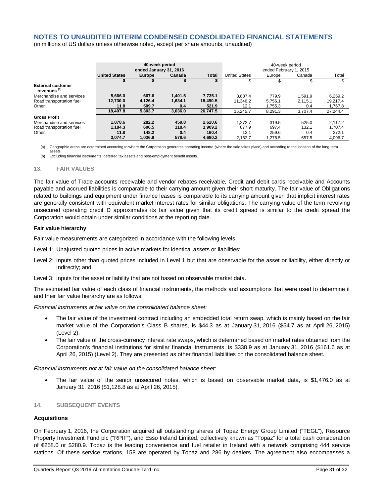(in millions of US dollars unless otherwise noted, except per share amounts, unaudited)

|                                                     | 40-week period<br>ended January 31, 2016 |               |         |              | 40-week period<br>ended February 1, 2015 |         |         |          |
|-----------------------------------------------------|------------------------------------------|---------------|---------|--------------|------------------------------------------|---------|---------|----------|
|                                                     | <b>United States</b>                     | <b>Europe</b> | Canada  | <b>Total</b> | <b>United States</b>                     | Europe  | Canada  | Total    |
|                                                     |                                          |               |         |              |                                          |         |         |          |
| <b>External customer</b><br>revenues <sup>(a)</sup> |                                          |               |         |              |                                          |         |         |          |
| Merchandise and services                            | 5,666.0                                  | 667.6         | 1.401.5 | 7,735.1      | 3.887.4                                  | 779.9   | 1.591.9 | 6,259.2  |
| Road transportation fuel                            | 12,730.0                                 | 4,126.4       | 1,634.1 | 18,490.5     | 11,346.2                                 | 5.756.1 | 2.115.1 | 19.217.4 |
| Other                                               | 11.8                                     | 509.7         | 0.4     | 521.9        | 12.1                                     | 1.755.3 | 0.4     | 1,767.8  |
|                                                     | 18,407.8                                 | 5,303.7       | 3,036.0 | 26.747.5     | 15.245.7                                 | 8.291.3 | 3.707.4 | 27,244.4 |
| <b>Gross Profit</b>                                 |                                          |               |         |              |                                          |         |         |          |
| Merchandise and services                            | 1,878.6                                  | 282.2         | 459.8   | 2,620.6      | 1.272.7                                  | 319.5   | 525.0   | 2.117.2  |
| Road transportation fuel                            | 1.184.3                                  | 606.5         | 118.4   | 1.909.2      | 877.9                                    | 697.4   | 132.1   | 1,707.4  |
| Other                                               | 11.8                                     | 148.2         | 0.4     | 160.4        | 12.1                                     | 259.6   | 0.4     | 272.1    |
|                                                     | 3.074.7                                  | 1.036.9       | 578.6   | 4.690.2      | 2.162.7                                  | 1.276.5 | 657.5   | 4.096.7  |

(a) Geographic areas are determined according to where the Corporation generates operating income (where the sale takes place) and according to the location of the long-term assets.

(b) Excluding financial instruments, deferred tax assets and post-employment benefit assets.

#### **13. FAIR VALUES**

The fair value of Trade accounts receivable and vendor rebates receivable, Credit and debit cards receivable and Accounts payable and accrued liabilities is comparable to their carrying amount given their short maturity. The fair value of Obligations related to buildings and equipment under finance leases is comparable to its carrying amount given that implicit interest rates are generally consistent with equivalent market interest rates for similar obligations. The carrying value of the term revolving unsecured operating credit D approximates its fair value given that its credit spread is similar to the credit spread the Corporation would obtain under similar conditions at the reporting date.

#### **Fair value hierarchy**

Fair value measurements are categorized in accordance with the following levels:

Level 1: Unajusted quoted prices in active markets for identical assets or liabilities;

- Level 2: inputs other than quoted prices included in Level 1 but that are observable for the asset or liability, either directly or indirectly; and
- Level 3: inputs for the asset or liability that are not based on observable market data.

The estimated fair value of each class of financial instruments, the methods and assumptions that were used to determine it and their fair value hierarchy are as follows:

*Financial instruments at fair value on the consolidated balance sheet:*

- The fair value of the investment contract including an embedded total return swap, which is mainly based on the fair market value of the Corporation's Class B shares, is \$44.3 as at January 31, 2016 (\$54.7 as at April 26, 2015) (Level 2);
- The fair value of the cross-currency interest rate swaps, which is determined based on market rates obtained from the Corporation's financial institutions for similar financial instruments, is \$338.9 as at January 31, 2016 (\$161.6 as at April 26, 2015) (Level 2). They are presented as other financial liabilities on the consolidated balance sheet.

*Financial instruments not at fair value on the consolidated balance sheet:*

 The fair value of the senior unsecured notes, which is based on observable market data, is \$1,476.0 as at January 31, 2016 (\$1,128.8 as at April 26, 2015).

## **14. SUBSEQUENT EVENTS**

## **Acquisitions**

On February 1, 2016, the Corporation acquired all outstanding shares of Topaz Energy Group Limited ("TEGL"), Resource Property Investment Fund plc ("RPIF"), and Esso Ireland Limited, collectively known as "Topaz" for a total cash consideration of €258.0 or \$280.9. Topaz is the leading convenience and fuel retailer in Ireland with a network comprising 444 service stations. Of these service stations, 158 are operated by Topaz and 286 by dealers. The agreement also encompasses a